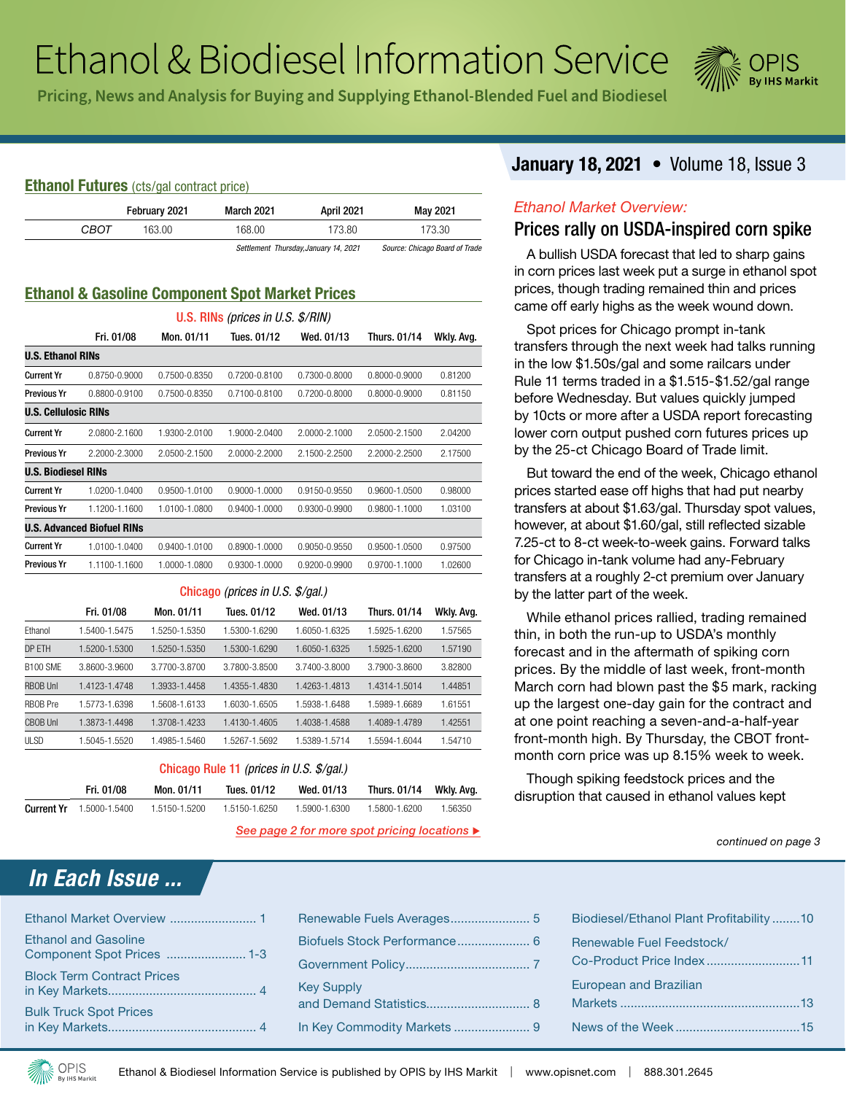# Ethanol & Biodiesel Information Service



Pricing, News and Analysis for Buying and Supplying Ethanol-Blended Fuel and Biodiesel

#### **Ethanol Futures** (cts/gal contract price)

|      | February 2021 | <b>March 2021</b> | <b>April 2021</b>                     | May 2021                       |
|------|---------------|-------------------|---------------------------------------|--------------------------------|
| CBOT | 163.00.       | 168.00            | 173.80                                | 173.30                         |
|      |               |                   | Settlement Thursday, January 14, 2021 | Source: Chicago Board of Trade |

### **Ethanol & Gasoline Component Spot Market Prices**

| U.S. RINs (prices in U.S. $\frac{s}{R}$ IN) |                                   |               |                                |               |                   |            |  |  |
|---------------------------------------------|-----------------------------------|---------------|--------------------------------|---------------|-------------------|------------|--|--|
|                                             | Fri. 01/08                        | Mon. 01/11    | Tues. 01/12                    | Wed. 01/13    | Thurs, 01/14      | Wkly. Avg. |  |  |
| <b>U.S. Ethanol RINs</b>                    |                                   |               |                                |               |                   |            |  |  |
| <b>Current Yr</b>                           | 0.8750-0.9000                     | 0.7500-0.8350 | 0.7200-0.8100                  | 0.7300-0.8000 | $0.8000 - 0.9000$ | 0.81200    |  |  |
| <b>Previous Yr</b>                          | 0.8800-0.9100                     | 0.7500-0.8350 | 0.7100-0.8100                  | 0.7200-0.8000 | 0.8000-0.9000     | 0.81150    |  |  |
| <b>U.S. Cellulosic RINs</b>                 |                                   |               |                                |               |                   |            |  |  |
| <b>Current Yr</b>                           | 2.0800-2.1600                     | 1.9300-2.0100 | 1.9000-2.0400                  | 2.0000-2.1000 | 2.0500-2.1500     | 2.04200    |  |  |
| <b>Previous Yr</b>                          | 2.2000-2.3000                     | 2.0500-2.1500 | 2.0000-2.2000<br>2.1500-2.2500 |               | 2.2000-2.2500     | 2.17500    |  |  |
| <b>U.S. Biodiesel RINs</b>                  |                                   |               |                                |               |                   |            |  |  |
| <b>Current Yr</b>                           | 1.0200-1.0400                     | 0.9500-1.0100 | $0.9000 - 1.0000$              | 0.9150-0.9550 | 0.9600-1.0500     | 0.98000    |  |  |
| <b>Previous Yr</b>                          | 1.1200-1.1600                     | 1.0100-1.0800 | 0.9400-1.0000                  | 0.9300-0.9900 | 0.9800-1.1000     | 1.03100    |  |  |
|                                             | <b>U.S. Advanced Biofuel RINs</b> |               |                                |               |                   |            |  |  |
| <b>Current Yr</b>                           | 1.0100-1.0400                     | 0.9400-1.0100 | $0.8900 - 1.0000$              | 0.9050-0.9550 | 0.9500-1.0500     | 0.97500    |  |  |
| <b>Previous Yr</b>                          | 1.1100-1.1600                     | 1.0000-1.0800 | 0.9300-1.0000                  | 0.9200-0.9900 | 0.9700-1.1000     | 1.02600    |  |  |
|                                             |                                   |               |                                |               |                   |            |  |  |

#### Chicago *(prices in U.S. \$/gal.)*

|                 | Fri. 01/08    | Mon. 01/11    | Tues. 01/12   | Wed. 01/13    | <b>Thurs. 01/14</b> | Wkly. Avg. |
|-----------------|---------------|---------------|---------------|---------------|---------------------|------------|
| Ethanol         | 1.5400-1.5475 | 1.5250-1.5350 | 1.5300-1.6290 | 1.6050-1.6325 | 1.5925-1.6200       | 1.57565    |
| DP ETH          | 1.5200-1.5300 | 1.5250-1.5350 | 1.5300-1.6290 | 1.6050-1.6325 | 1.5925-1.6200       | 1.57190    |
| <b>B100 SMF</b> | 3.8600-3.9600 | 3.7700-3.8700 | 3.7800-3.8500 | 3.7400-3.8000 | 3.7900-3.8600       | 3.82800    |
| <b>RBOB Unl</b> | 1.4123-1.4748 | 1.3933-1.4458 | 1.4355-1.4830 | 1.4263-1.4813 | 1.4314-1.5014       | 1.44851    |
| RBOB Pre        | 1.5773-1.6398 | 1.5608-1.6133 | 1.6030-1.6505 | 1.5938-1.6488 | 1.5989-1.6689       | 1.61551    |
| <b>CBOB Unl</b> | 1.3873-1.4498 | 1.3708-1.4233 | 1.4130-1.4605 | 1.4038-1.4588 | 1.4089-1.4789       | 1.42551    |
| ULSD            | 1.5045-1.5520 | 1.4985-1.5460 | 1.5267-1.5692 | 1.5389-1.5714 | 1.5594-1.6044       | 1.54710    |

#### Chicago Rule 11 *(prices in U.S. \$/gal.)*

|                   | Fri. 01/08    | Mon. 01/11    | Tues. 01/12   | Wed. 01/13    | Thurs. 01/14 Wkly. Avg. |         |
|-------------------|---------------|---------------|---------------|---------------|-------------------------|---------|
| <b>Current Yr</b> | 1.5000-1.5400 | 1.5150-1.5200 | 1.5150-1.6250 | 1.5900-1.6300 | 1.5800-1.6200           | 1.56350 |

*See page 2 for more spot pricing locations* 

# *In Each Issue ...*

| <b>Ethanol and Gasoline</b>       |
|-----------------------------------|
| <b>Block Term Contract Prices</b> |
| <b>Bulk Truck Spot Prices</b>     |

| <b>Key Supply</b> |  |
|-------------------|--|
|                   |  |

# **January 18, 2021** • Volume 18, Issue 3

#### *Ethanol Market Overview:*

# Prices rally on USDA-inspired corn spike

A bullish USDA forecast that led to sharp gains in corn prices last week put a surge in ethanol spot prices, though trading remained thin and prices came off early highs as the week wound down.

Spot prices for Chicago prompt in-tank transfers through the next week had talks running in the low \$1.50s/gal and some railcars under Rule 11 terms traded in a \$1.515-\$1.52/gal range before Wednesday. But values quickly jumped by 10cts or more after a USDA report forecasting lower corn output pushed corn futures prices up by the 25-ct Chicago Board of Trade limit.

But toward the end of the week, Chicago ethanol prices started ease off highs that had put nearby transfers at about \$1.63/gal. Thursday spot values, however, at about \$1.60/gal, still reflected sizable 7.25-ct to 8-ct week-to-week gains. Forward talks for Chicago in-tank volume had any-February transfers at a roughly 2-ct premium over January by the latter part of the week.

While ethanol prices rallied, trading remained thin, in both the run-up to USDA's monthly forecast and in the aftermath of spiking corn prices. By the middle of last week, front-month March corn had blown past the \$5 mark, racking up the largest one-day gain for the contract and at one point reaching a seven-and-a-half-year front-month high. By Thursday, the CBOT frontmonth corn price was up 8.15% week to week.

Though spiking feedstock prices and the disruption that caused in ethanol values kept

*continued on page 3*

| Biodiesel/Ethanol Plant Profitability10 |
|-----------------------------------------|
| Renewable Fuel Feedstock/               |
| <b>European and Brazilian</b>           |
|                                         |
|                                         |

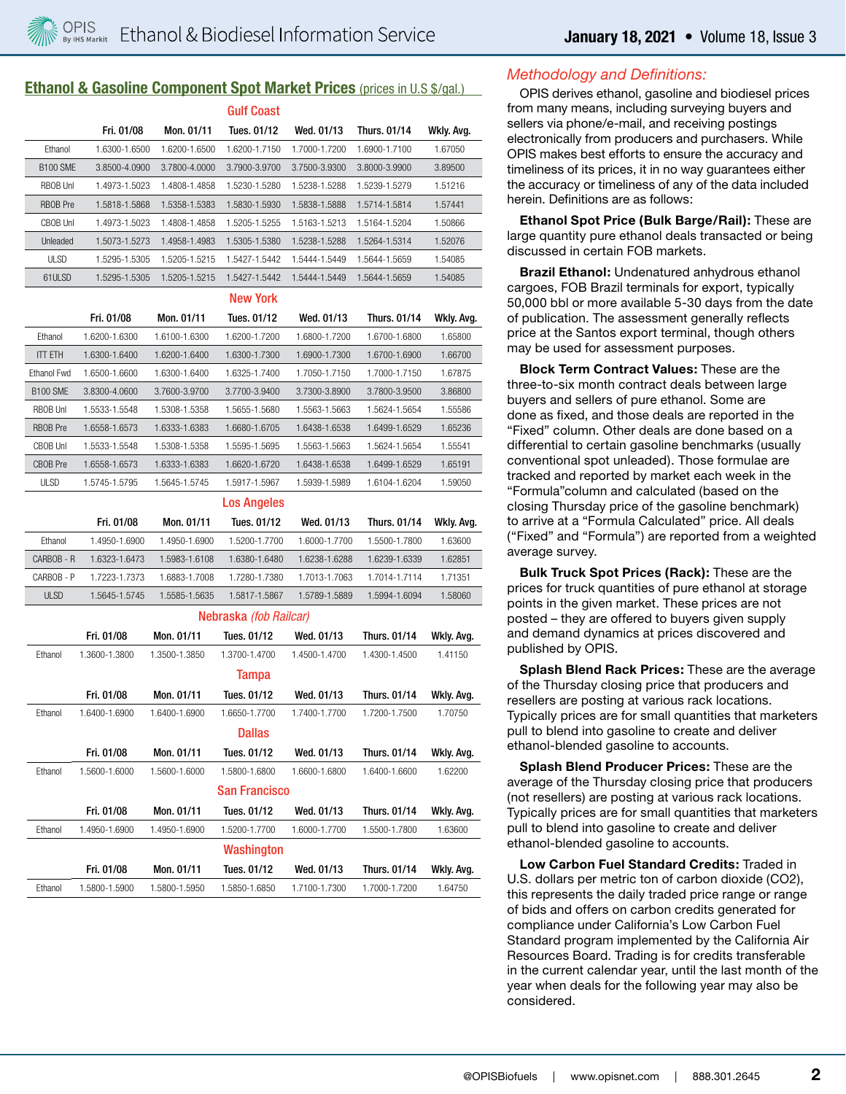#### **Ethanol & Gasoline Component Spot Market Prices (prices in U.S \$/gal.)**

|                 |               |               | <b>Gulf Coast</b>      |               |                     |            |
|-----------------|---------------|---------------|------------------------|---------------|---------------------|------------|
|                 | Fri. 01/08    | Mon. 01/11    | Tues. 01/12            | Wed. 01/13    | <b>Thurs. 01/14</b> | Wkly. Avg. |
| Ethanol         | 1.6300-1.6500 | 1.6200-1.6500 | 1.6200-1.7150          | 1.7000-1.7200 | 1.6900-1.7100       | 1.67050    |
| <b>B100 SME</b> | 3.8500-4.0900 | 3.7800-4.0000 | 3.7900-3.9700          | 3.7500-3.9300 | 3.8000-3.9900       | 3.89500    |
| <b>RBOB Unl</b> | 1.4973-1.5023 | 1.4808-1.4858 | 1.5230-1.5280          | 1.5238-1.5288 | 1.5239-1.5279       | 1.51216    |
| <b>RBOB</b> Pre | 1.5818-1.5868 | 1.5358-1.5383 | 1.5830-1.5930          | 1.5838-1.5888 | 1.5714-1.5814       | 1.57441    |
| CBOB Unl        | 1.4973-1.5023 | 1.4808-1.4858 | 1.5205-1.5255          | 1.5163-1.5213 | 1.5164-1.5204       | 1.50866    |
| Unleaded        | 1.5073-1.5273 | 1.4958-1.4983 | 1.5305-1.5380          | 1.5238-1.5288 | 1.5264-1.5314       | 1.52076    |
| <b>ULSD</b>     | 1.5295-1.5305 | 1.5205-1.5215 | 1.5427-1.5442          | 1.5444-1.5449 | 1.5644-1.5659       | 1.54085    |
| 61ULSD          | 1.5295-1.5305 | 1.5205-1.5215 | 1.5427-1.5442          | 1.5444-1.5449 | 1.5644-1.5659       | 1.54085    |
|                 |               |               | <b>New York</b>        |               |                     |            |
|                 | Fri. 01/08    | Mon. 01/11    | Tues. 01/12            | Wed. 01/13    | Thurs. 01/14        | Wkly. Avg. |
| Ethanol         | 1.6200-1.6300 | 1.6100-1.6300 | 1.6200-1.7200          | 1.6800-1.7200 | 1.6700-1.6800       | 1.65800    |
| <b>ITT ETH</b>  | 1.6300-1.6400 | 1.6200-1.6400 | 1.6300-1.7300          | 1.6900-1.7300 | 1.6700-1.6900       | 1.66700    |
| Ethanol Fwd     | 1.6500-1.6600 | 1.6300-1.6400 | 1.6325-1.7400          | 1.7050-1.7150 | 1.7000-1.7150       | 1.67875    |
| <b>B100 SME</b> | 3.8300-4.0600 | 3.7600-3.9700 | 3.7700-3.9400          | 3.7300-3.8900 | 3.7800-3.9500       | 3.86800    |
| <b>RBOB Unl</b> | 1.5533-1.5548 | 1.5308-1.5358 | 1.5655-1.5680          | 1.5563-1.5663 | 1.5624-1.5654       | 1.55586    |
| <b>RBOB</b> Pre | 1.6558-1.6573 | 1.6333-1.6383 | 1.6680-1.6705          | 1.6438-1.6538 | 1.6499-1.6529       | 1.65236    |
| <b>CBOB Unl</b> | 1.5533-1.5548 | 1.5308-1.5358 | 1.5595-1.5695          | 1.5563-1.5663 | 1.5624-1.5654       | 1.55541    |
| <b>CBOB Pre</b> | 1.6558-1.6573 | 1.6333-1.6383 | 1.6620-1.6720          | 1.6438-1.6538 | 1.6499-1.6529       | 1.65191    |
| ULSD            | 1.5745-1.5795 | 1.5645-1.5745 | 1.5917-1.5967          | 1.5939-1.5989 | 1.6104-1.6204       | 1.59050    |
|                 |               |               | <b>Los Angeles</b>     |               |                     |            |
|                 | Fri. 01/08    | Mon. 01/11    | Tues. 01/12            | Wed. 01/13    | Thurs. 01/14        | Wkly. Avg. |
| Ethanol         | 1.4950-1.6900 | 1.4950-1.6900 | 1.5200-1.7700          | 1.6000-1.7700 | 1.5500-1.7800       | 1.63600    |
| CARBOB - R      | 1.6323-1.6473 | 1.5983-1.6108 | 1.6380-1.6480          | 1.6238-1.6288 | 1.6239-1.6339       | 1.62851    |
| CARBOB - P      | 1.7223-1.7373 | 1.6883-1.7008 | 1.7280-1.7380          | 1.7013-1.7063 | 1.7014-1.7114       | 1.71351    |
| <b>ULSD</b>     | 1.5645-1.5745 | 1.5585-1.5635 | 1.5817-1.5867          | 1.5789-1.5889 | 1.5994-1.6094       | 1.58060    |
|                 |               |               | Nebraska (fob Railcar) |               |                     |            |
|                 | Fri. 01/08    | Mon. 01/11    | Tues. 01/12            | Wed. 01/13    | Thurs. 01/14        | Wkly. Avg. |
| Ethanol         | 1.3600-1.3800 | 1.3500-1.3850 | 1.3700-1.4700          | 1.4500-1.4700 | 1.4300-1.4500       | 1.41150    |
|                 |               |               | <b>Tampa</b>           |               |                     |            |
|                 | Fri. 01/08    | Mon. 01/11    | Tues. 01/12            | Wed. 01/13    | Thurs. 01/14        | Wkly. Avg. |
| Ethanol         | 1.6400-1.6900 | 1.6400-1.6900 | 1.6650-1.7700          | 1.7400-1.7700 | 1.7200-1.7500       | 1.70750    |
|                 |               |               | <b>Dallas</b>          |               |                     |            |
|                 |               |               |                        |               |                     |            |
|                 | Fri. 01/08    | Mon. 01/11    | Tues. 01/12            | Wed. 01/13    | Thurs, 01/14        | Wkly. Avg. |
| Ethanol         | 1.5600-1.6000 | 1.5600-1.6000 | 1.5800-1.6800          | 1.6600-1.6800 | 1.6400-1.6600       | 1.62200    |
|                 |               |               | <b>San Francisco</b>   |               |                     |            |
|                 | Fri. 01/08    | Mon. 01/11    | Tues. 01/12            | Wed. 01/13    | Thurs. 01/14        | Wkly. Avg. |
| Ethanol         | 1.4950-1.6900 | 1.4950-1.6900 | 1.5200-1.7700          | 1.6000-1.7700 | 1.5500-1.7800       | 1.63600    |
|                 |               |               | Washington             |               |                     |            |
|                 | Fri. 01/08    | Mon. 01/11    | Tues. 01/12            | Wed. 01/13    | Thurs. 01/14        | Wkly. Avg. |
| Ethanol         | 1.5800-1.5900 | 1.5800-1.5950 | 1.5850-1.6850          | 1.7100-1.7300 | 1.7000-1.7200       | 1.64750    |

#### *Methodology and Definitions:*

OPIS derives ethanol, gasoline and biodiesel prices from many means, including surveying buyers and sellers via phone/e-mail, and receiving postings electronically from producers and purchasers. While OPIS makes best efforts to ensure the accuracy and timeliness of its prices, it in no way guarantees either the accuracy or timeliness of any of the data included herein. Definitions are as follows:

**Ethanol Spot Price (Bulk Barge/Rail):** These are large quantity pure ethanol deals transacted or being discussed in certain FOB markets.

**Brazil Ethanol:** Undenatured anhydrous ethanol cargoes, FOB Brazil terminals for export, typically 50,000 bbl or more available 5-30 days from the date of publication. The assessment generally reflects price at the Santos export terminal, though others may be used for assessment purposes.

**Block Term Contract Values:** These are the three-to-six month contract deals between large buyers and sellers of pure ethanol. Some are done as fixed, and those deals are reported in the "Fixed" column. Other deals are done based on a differential to certain gasoline benchmarks (usually conventional spot unleaded). Those formulae are tracked and reported by market each week in the "Formula"column and calculated (based on the closing Thursday price of the gasoline benchmark) to arrive at a "Formula Calculated" price. All deals ("Fixed" and "Formula") are reported from a weighted average survey.

**Bulk Truck Spot Prices (Rack):** These are the prices for truck quantities of pure ethanol at storage points in the given market. These prices are not posted – they are offered to buyers given supply and demand dynamics at prices discovered and published by OPIS.

**Splash Blend Rack Prices:** These are the average of the Thursday closing price that producers and resellers are posting at various rack locations. Typically prices are for small quantities that marketers pull to blend into gasoline to create and deliver ethanol-blended gasoline to accounts.

**Splash Blend Producer Prices:** These are the average of the Thursday closing price that producers (not resellers) are posting at various rack locations. Typically prices are for small quantities that marketers pull to blend into gasoline to create and deliver ethanol-blended gasoline to accounts.

**Low Carbon Fuel Standard Credits:** Traded in U.S. dollars per metric ton of carbon dioxide (CO2), this represents the daily traded price range or range of bids and offers on carbon credits generated for compliance under California's Low Carbon Fuel Standard program implemented by the California Air Resources Board. Trading is for credits transferable in the current calendar year, until the last month of the year when deals for the following year may also be considered.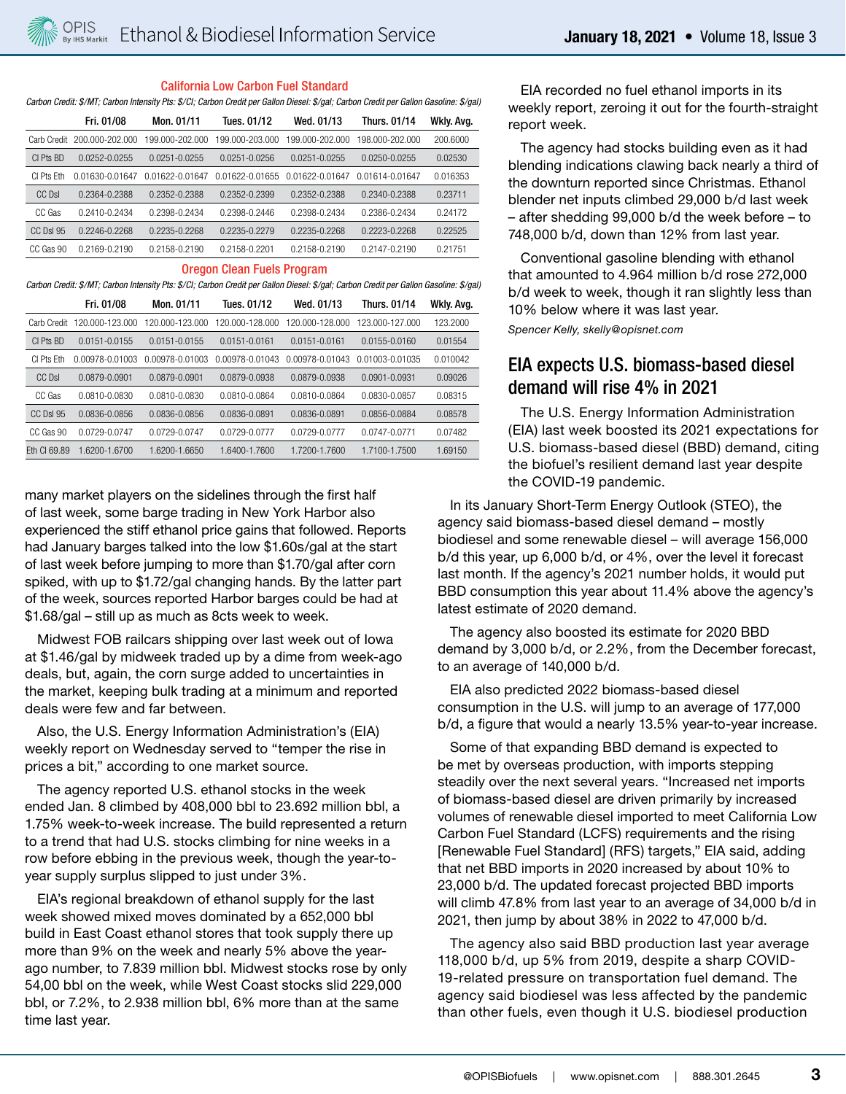#### California Low Carbon Fuel Standard

*Carbon Credit: \$/MT; Carbon Intensity Pts: \$/CI; Carbon Credit per Gallon Diesel: \$/gal; Carbon Credit per Gallon Gasoline: \$/gal)* 

|                  | Fri. 01/08      | Mon. 01/11      | Tues. 01/12       | Wed. 01/13      | Thurs. 01/14    | Wkly. Avg. |
|------------------|-----------------|-----------------|-------------------|-----------------|-----------------|------------|
| Carb Credit      | 200.000-202.000 | 199.000-202.000 | 199.000-203.000   | 199.000-202.000 | 198.000-202.000 | 200.6000   |
| CI Pts BD        | 0.0252-0.0255   | 0.0251-0.0255   | $0.0251 - 0.0256$ | 0.0251-0.0255   | 0.0250-0.0255   | 0.02530    |
| CI Pts Fth       | 0.01630-0.01647 | 0.01622-0.01647 | 0.01622-0.01655   | 0.01622-0.01647 | 0.01614-0.01647 | 0.016353   |
| CC DsI           | 0.2364-0.2388   | 0.2352-0.2388   | 0.2352-0.2399     | 0.2352-0.2388   | 0.2340-0.2388   | 0.23711    |
| CC Gas           | 0.2410-0.2434   | 0.2398-0.2434   | 0.2398-0.2446     | 0.2398-0.2434   | 0.2386-0.2434   | 0.24172    |
| <b>CC DsI 95</b> | 0.2246-0.2268   | 0.2235-0.2268   | 0.2235-0.2279     | 0.2235-0.2268   | 0.2223-0.2268   | 0.22525    |
| CC Gas 90        | 0.2169-0.2190   | 0.2158-0.2190   | 0.2158-0.2201     | 0.2158-0.2190   | 0.2147-0.2190   | 0.21751    |

#### Oregon Clean Fuels Program

*Carbon Credit: \$/MT; Carbon Intensity Pts: \$/CI; Carbon Credit per Gallon Diesel: \$/gal; Carbon Credit per Gallon Gasoline: \$/gal)* 

|                 | Fri. 01/08        | Mon. 01/11        | Tues. 01/12       | Wed. 01/13      | <b>Thurs. 01/14</b> | Wkly. Avg. |
|-----------------|-------------------|-------------------|-------------------|-----------------|---------------------|------------|
| Carb Credit     | 120.000-123.000   | 120.000-123.000   | 120.000-128.000   | 120.000-128.000 | 123.000-127.000     | 123,2000   |
| CI Pts BD       | $0.0151 - 0.0155$ | $0.0151 - 0.0155$ | $0.0151 - 0.0161$ | 0.0151-0.0161   | 0.0155-0.0160       | 0.01554    |
| CI Pts Fth      | 0.00978-0.01003   | 0.00978-0.01003   | 0.00978-0.01043   | 0.00978-0.01043 | 0.01003-0.01035     | 0.010042   |
| CC DsI          | 0.0879-0.0901     | 0.0879-0.0901     | 0.0879-0.0938     | 0.0879-0.0938   | $0.0901 - 0.0931$   | 0.09026    |
| CC Gas          | 0.0810-0.0830     | 0.0810-0.0830     | 0.0810-0.0864     | 0.0810-0.0864   | 0.0830-0.0857       | 0.08315    |
| <b>CC DsL95</b> | 0.0836-0.0856     | 0.0836-0.0856     | 0.0836-0.0891     | 0.0836-0.0891   | 0.0856-0.0884       | 0.08578    |
| CC Gas 90       | 0.0729-0.0747     | 0.0729-0.0747     | 0.0729-0.0777     | 0.0729-0.0777   | 0.0747-0.0771       | 0.07482    |
| Fth CI 69.89    | 1.6200-1.6700     | 1.6200-1.6650     | 1.6400-1.7600     | 1.7200-1.7600   | 1.7100-1.7500       | 1.69150    |

many market players on the sidelines through the first half of last week, some barge trading in New York Harbor also experienced the stiff ethanol price gains that followed. Reports had January barges talked into the low \$1.60s/gal at the start of last week before jumping to more than \$1.70/gal after corn spiked, with up to \$1.72/gal changing hands. By the latter part of the week, sources reported Harbor barges could be had at \$1.68/gal – still up as much as 8cts week to week.

Midwest FOB railcars shipping over last week out of Iowa at \$1.46/gal by midweek traded up by a dime from week-ago deals, but, again, the corn surge added to uncertainties in the market, keeping bulk trading at a minimum and reported deals were few and far between.

Also, the U.S. Energy Information Administration's (EIA) weekly report on Wednesday served to "temper the rise in prices a bit," according to one market source.

The agency reported U.S. ethanol stocks in the week ended Jan. 8 climbed by 408,000 bbl to 23.692 million bbl, a 1.75% week-to-week increase. The build represented a return to a trend that had U.S. stocks climbing for nine weeks in a row before ebbing in the previous week, though the year-toyear supply surplus slipped to just under 3%.

EIA's regional breakdown of ethanol supply for the last week showed mixed moves dominated by a 652,000 bbl build in East Coast ethanol stores that took supply there up more than 9% on the week and nearly 5% above the yearago number, to 7.839 million bbl. Midwest stocks rose by only 54,00 bbl on the week, while West Coast stocks slid 229,000 bbl, or 7.2%, to 2.938 million bbl, 6% more than at the same time last year.

EIA recorded no fuel ethanol imports in its weekly report, zeroing it out for the fourth-straight report week.

The agency had stocks building even as it had blending indications clawing back nearly a third of the downturn reported since Christmas. Ethanol blender net inputs climbed 29,000 b/d last week – after shedding 99,000 b/d the week before – to 748,000 b/d, down than 12% from last year.

Conventional gasoline blending with ethanol that amounted to 4.964 million b/d rose 272,000 b/d week to week, though it ran slightly less than 10% below where it was last year.

*Spencer Kelly, skelly@opisnet.com*

# EIA expects U.S. biomass-based diesel demand will rise 4% in 2021

The U.S. Energy Information Administration (EIA) last week boosted its 2021 expectations for U.S. biomass-based diesel (BBD) demand, citing the biofuel's resilient demand last year despite the COVID-19 pandemic.

In its January Short-Term Energy Outlook (STEO), the agency said biomass-based diesel demand – mostly biodiesel and some renewable diesel – will average 156,000 b/d this year, up 6,000 b/d, or 4%, over the level it forecast last month. If the agency's 2021 number holds, it would put BBD consumption this year about 11.4% above the agency's latest estimate of 2020 demand.

The agency also boosted its estimate for 2020 BBD demand by 3,000 b/d, or 2.2%, from the December forecast, to an average of 140,000 b/d.

EIA also predicted 2022 biomass-based diesel consumption in the U.S. will jump to an average of 177,000 b/d, a figure that would a nearly 13.5% year-to-year increase.

Some of that expanding BBD demand is expected to be met by overseas production, with imports stepping steadily over the next several years. "Increased net imports of biomass-based diesel are driven primarily by increased volumes of renewable diesel imported to meet California Low Carbon Fuel Standard (LCFS) requirements and the rising [Renewable Fuel Standard] (RFS) targets," EIA said, adding that net BBD imports in 2020 increased by about 10% to 23,000 b/d. The updated forecast projected BBD imports will climb 47.8% from last year to an average of 34,000 b/d in 2021, then jump by about 38% in 2022 to 47,000 b/d.

The agency also said BBD production last year average 118,000 b/d, up 5% from 2019, despite a sharp COVID-19-related pressure on transportation fuel demand. The agency said biodiesel was less affected by the pandemic than other fuels, even though it U.S. biodiesel production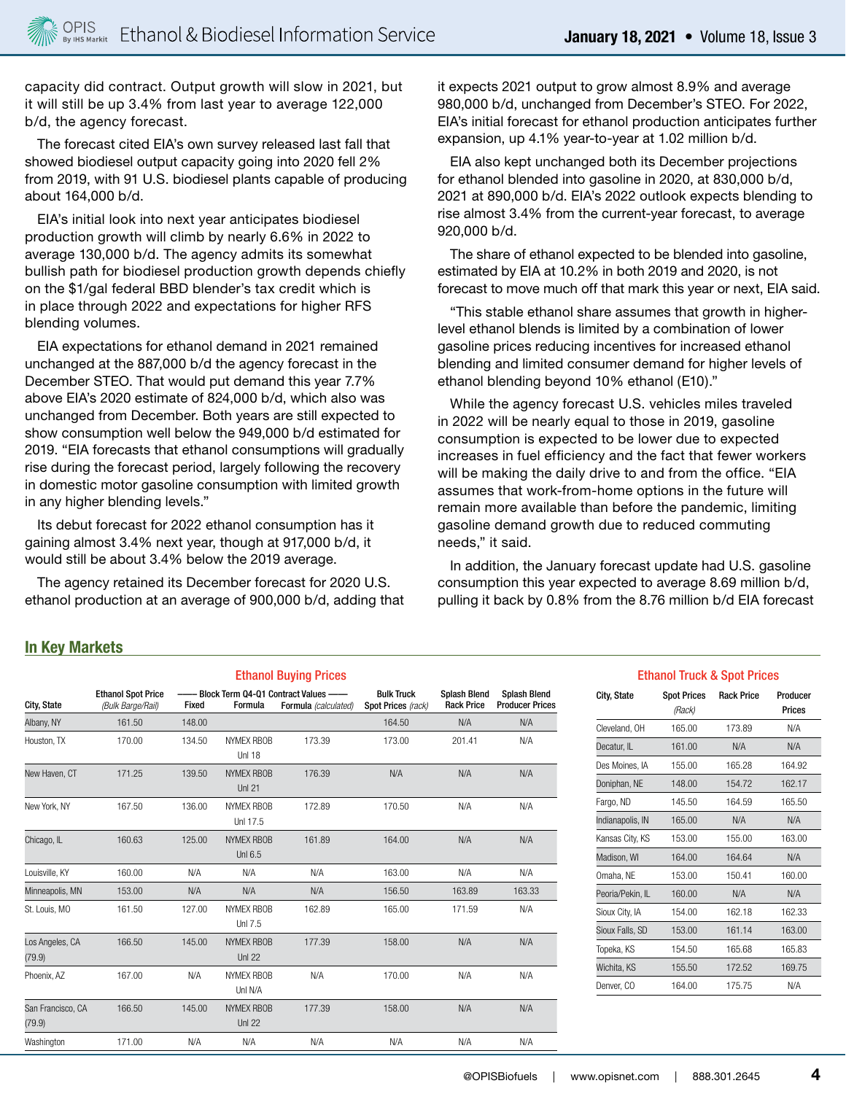capacity did contract. Output growth will slow in 2021, but it will still be up 3.4% from last year to average 122,000 b/d, the agency forecast.

The forecast cited EIA's own survey released last fall that showed biodiesel output capacity going into 2020 fell 2% from 2019, with 91 U.S. biodiesel plants capable of producing about 164,000 b/d.

EIA's initial look into next year anticipates biodiesel production growth will climb by nearly 6.6% in 2022 to average 130,000 b/d. The agency admits its somewhat bullish path for biodiesel production growth depends chiefly on the \$1/gal federal BBD blender's tax credit which is in place through 2022 and expectations for higher RFS blending volumes.

EIA expectations for ethanol demand in 2021 remained unchanged at the 887,000 b/d the agency forecast in the December STEO. That would put demand this year 7.7% above EIA's 2020 estimate of 824,000 b/d, which also was unchanged from December. Both years are still expected to show consumption well below the 949,000 b/d estimated for 2019. "EIA forecasts that ethanol consumptions will gradually rise during the forecast period, largely following the recovery in domestic motor gasoline consumption with limited growth in any higher blending levels."

Its debut forecast for 2022 ethanol consumption has it gaining almost 3.4% next year, though at 917,000 b/d, it would still be about 3.4% below the 2019 average.

The agency retained its December forecast for 2020 U.S. ethanol production at an average of 900,000 b/d, adding that it expects 2021 output to grow almost 8.9% and average 980,000 b/d, unchanged from December's STEO. For 2022, EIA's initial forecast for ethanol production anticipates further expansion, up 4.1% year-to-year at 1.02 million b/d.

EIA also kept unchanged both its December projections for ethanol blended into gasoline in 2020, at 830,000 b/d, 2021 at 890,000 b/d. EIA's 2022 outlook expects blending to rise almost 3.4% from the current-year forecast, to average 920,000 b/d.

The share of ethanol expected to be blended into gasoline, estimated by EIA at 10.2% in both 2019 and 2020, is not forecast to move much off that mark this year or next, EIA said.

"This stable ethanol share assumes that growth in higherlevel ethanol blends is limited by a combination of lower gasoline prices reducing incentives for increased ethanol blending and limited consumer demand for higher levels of ethanol blending beyond 10% ethanol (E10)."

While the agency forecast U.S. vehicles miles traveled in 2022 will be nearly equal to those in 2019, gasoline consumption is expected to be lower due to expected increases in fuel efficiency and the fact that fewer workers will be making the daily drive to and from the office. "EIA assumes that work-from-home options in the future will remain more available than before the pandemic, limiting gasoline demand growth due to reduced commuting needs," it said.

In addition, the January forecast update had U.S. gasoline consumption this year expected to average 8.69 million b/d, pulling it back by 0.8% from the 8.76 million b/d EIA forecast

#### **In Key Markets**

|                             |                                                |        |                                    | <b>Ethanol Buying Prices</b>                                    |                                         |                                          |                                               |
|-----------------------------|------------------------------------------------|--------|------------------------------------|-----------------------------------------------------------------|-----------------------------------------|------------------------------------------|-----------------------------------------------|
| City, State                 | <b>Ethanol Spot Price</b><br>(Bulk Barge/Rail) | Fixed  | Formula                            | --- Block Term 04-01 Contract Values --<br>Formula (calculated) | <b>Bulk Truck</b><br>Spot Prices (rack) | <b>Splash Blend</b><br><b>Rack Price</b> | <b>Splash Blend</b><br><b>Producer Prices</b> |
| Albany, NY                  | 161.50                                         | 148.00 |                                    |                                                                 | 164.50                                  | N/A                                      | N/A                                           |
| Houston, TX                 | 170.00                                         | 134.50 | <b>NYMEX RBOB</b><br><b>Unl 18</b> | 173.39                                                          | 173.00                                  | 201.41                                   | N/A                                           |
| New Haven, CT               | 171.25                                         | 139.50 | <b>NYMEX RBOB</b><br><b>Unl 21</b> | 176.39                                                          | N/A                                     | N/A                                      | N/A                                           |
| New York, NY                | 167.50                                         | 136.00 | <b>NYMEX RBOB</b><br>Uni 17.5      | 172.89                                                          | 170.50                                  | N/A                                      | N/A                                           |
| Chicago, IL                 | 160.63                                         | 125.00 | <b>NYMEX RBOB</b><br>Unl 6.5       | 161.89                                                          | 164.00                                  | N/A                                      | N/A                                           |
| Louisville, KY              | 160.00                                         | N/A    | N/A                                | N/A                                                             | 163.00                                  | N/A                                      | N/A                                           |
| Minneapolis, MN             | 153.00                                         | N/A    | N/A                                | N/A                                                             | 156.50                                  | 163.89                                   | 163.33                                        |
| St. Louis, MO               | 161.50                                         | 127.00 | <b>NYMEX RBOB</b><br>Unl 7.5       | 162.89                                                          | 165.00                                  | 171.59                                   | N/A                                           |
| Los Angeles, CA<br>(79.9)   | 166.50                                         | 145.00 | <b>NYMEX RBOB</b><br><b>Unl 22</b> | 177.39                                                          | 158.00                                  | N/A                                      | N/A                                           |
| Phoenix, AZ                 | 167.00                                         | N/A    | NYMEX RBOB<br>Unl N/A              | N/A                                                             | 170.00                                  | N/A                                      | N/A                                           |
| San Francisco, CA<br>(79.9) | 166.50                                         | 145.00 | <b>NYMEX RBOB</b><br><b>Unl 22</b> | 177.39                                                          | 158.00                                  | N/A                                      | N/A                                           |
| Washington                  | 171.00                                         | N/A    | N/A                                | N/A                                                             | N/A                                     | N/A                                      | N/A                                           |

#### Ethanol Truck & Spot Prices

| City, State      | <b>Spot Prices</b><br>(Rack) | <b>Rack Price</b> | Producer<br>Prices |
|------------------|------------------------------|-------------------|--------------------|
| Cleveland, OH    | 165.00                       | 173.89            | N/A                |
| Decatur, IL      | 161.00                       | N/A               | N/A                |
| Des Moines, IA   | 155.00                       | 165.28            | 164.92             |
| Doniphan, NE     | 148.00                       | 154.72            | 162.17             |
| Fargo, ND        | 145.50                       | 164.59            | 165.50             |
| Indianapolis, IN | 165.00                       | N/A               | N/A                |
| Kansas City, KS  | 153.00                       | 155.00            | 163.00             |
| Madison, WI      | 164.00                       | 164.64            | N/A                |
| Omaha, NE        | 153.00                       | 150.41            | 160.00             |
| Peoria/Pekin, IL | 160.00                       | N/A               | N/A                |
| Sioux City, IA   | 154.00                       | 162.18            | 162.33             |
| Sioux Falls, SD  | 153.00                       | 161.14            | 163.00             |
| Topeka, KS       | 154.50                       | 165.68            | 165.83             |
| Wichita, KS      | 155.50                       | 172.52            | 169.75             |
| Denver, CO       | 164.00                       | 175.75            | N/A                |
|                  |                              |                   |                    |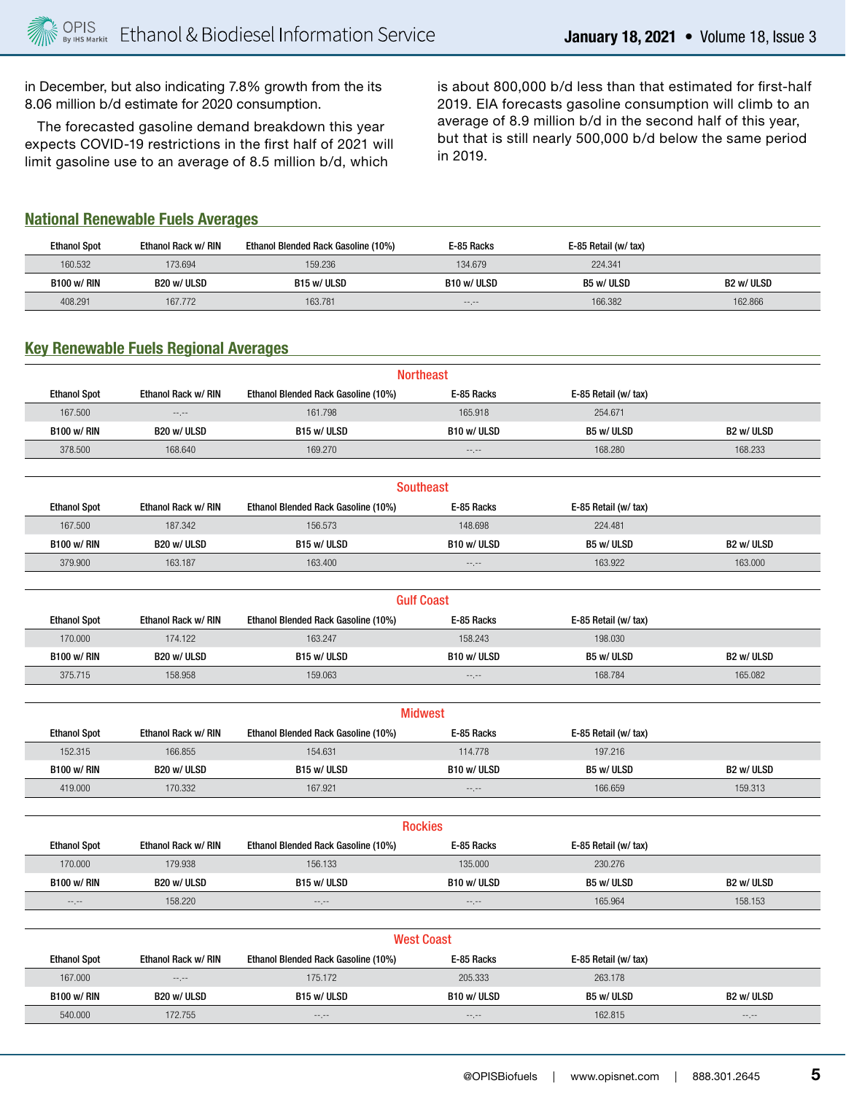in December, but also indicating 7.8% growth from the its 8.06 million b/d estimate for 2020 consumption.

The forecasted gasoline demand breakdown this year expects COVID-19 restrictions in the first half of 2021 will limit gasoline use to an average of 8.5 million b/d, which

is about 800,000 b/d less than that estimated for first-half 2019. EIA forecasts gasoline consumption will climb to an average of 8.9 million b/d in the second half of this year, but that is still nearly 500,000 b/d below the same period in 2019.

#### **National Renewable Fuels Averages**

| <b>Ethanol Spot</b> | Ethanol Rack w/ RIN | Ethanol Blended Rack Gasoline (10%) | E-85 Racks       | E-85 Retail (w/ tax) |            |
|---------------------|---------------------|-------------------------------------|------------------|----------------------|------------|
| 160.532             | 173.694             | 159.236                             | 134.679          | 224.341              |            |
| <b>B100 w/ RIN</b>  | B20 w/ ULSD         | B15 w/ ULSD                         | B10 w/ ULSD      | B5 w/ ULSD           | B2 w/ ULSD |
| 408.291             | 167.772             | 163.781                             | $-1 - 1 - 1 = 0$ | 166.382              | 162.866    |

### **Key Renewable Fuels Regional Averages**

|                     |                                            |                                     | <b>Northeast</b>  |                      |                  |
|---------------------|--------------------------------------------|-------------------------------------|-------------------|----------------------|------------------|
| <b>Ethanol Spot</b> | Ethanol Rack w/ RIN                        | Ethanol Blended Rack Gasoline (10%) | E-85 Racks        | E-85 Retail (w/ tax) |                  |
| 167.500             | $\sim$ , $\sim$                            | 161.798                             | 165.918           | 254.671              |                  |
| <b>B100 w/ RIN</b>  | B20 w/ ULSD                                | B15 w/ULSD                          | B10 w/ULSD        | B5 w/ ULSD           | B2 w/ ULSD       |
| 378.500             | 168.640                                    | 169.270                             | $--, --$          | 168.280              | 168.233          |
|                     |                                            |                                     |                   |                      |                  |
|                     |                                            |                                     | <b>Southeast</b>  |                      |                  |
| <b>Ethanol Spot</b> | Ethanol Rack w/ RIN                        | Ethanol Blended Rack Gasoline (10%) | E-85 Racks        | E-85 Retail (w/ tax) |                  |
| 167.500             | 187.342                                    | 156.573                             | 148.698           | 224.481              |                  |
| <b>B100 w/ RIN</b>  | B20 w/ ULSD                                | B15 w/ULSD                          | B10 w/ULSD        | B5 w/ULSD            | B2 w/ULSD        |
| 379.900             | 163.187                                    | 163.400                             | $-1, -1$          | 163.922              | 163.000          |
|                     |                                            |                                     |                   |                      |                  |
|                     |                                            |                                     | <b>Gulf Coast</b> |                      |                  |
| <b>Ethanol Spot</b> | Ethanol Rack w/ RIN                        | Ethanol Blended Rack Gasoline (10%) | E-85 Racks        | E-85 Retail (w/ tax) |                  |
| 170.000             | 174.122                                    | 163.247                             | 158.243           | 198.030              |                  |
| <b>B100 w/ RIN</b>  | B20 w/ ULSD                                | B15 w/ ULSD                         | B10 w/ ULSD       | B5 w/ ULSD           | B2 w/ ULSD       |
| 375.715             | 158.958                                    | 159.063                             | $^{++}$           | 168.784              | 165.082          |
|                     |                                            |                                     |                   |                      |                  |
|                     |                                            |                                     | <b>Midwest</b>    |                      |                  |
| <b>Ethanol Spot</b> | Ethanol Rack w/ RIN                        | Ethanol Blended Rack Gasoline (10%) | E-85 Racks        | E-85 Retail (w/ tax) |                  |
| 152.315             | 166.855                                    | 154.631                             | 114.778           | 197.216              |                  |
| <b>B100 w/ RIN</b>  | B20 w/ ULSD                                | B15 w/ ULSD                         | B10 w/ ULSD       | B5 w/ULSD            | B2 w/ ULSD       |
| 419.000             | 170.332                                    | 167.921                             | $-1, -1$          | 166.659              | 159.313          |
|                     |                                            |                                     |                   |                      |                  |
|                     |                                            |                                     | <b>Rockies</b>    |                      |                  |
| <b>Ethanol Spot</b> | <b>Ethanol Rack w/ RIN</b>                 | Ethanol Blended Rack Gasoline (10%) | E-85 Racks        | E-85 Retail (w/ tax) |                  |
| 170.000             | 179.938                                    | 156.133                             | 135.000           | 230.276              |                  |
| <b>B100 w/ RIN</b>  | B20 w/ ULSD                                | B15 w/ ULSD                         | B10 w/ ULSD       | B5 w/ULSD            | B2 w/ ULSD       |
| $-1, -1$            | 158.220                                    | $-1, -1$                            | $-1, -1$          | 165.964              | 158.153          |
|                     |                                            |                                     |                   |                      |                  |
|                     |                                            |                                     | <b>West Coast</b> |                      |                  |
| <b>Ethanol Spot</b> | <b>Ethanol Rack w/ RIN</b>                 | Ethanol Blended Rack Gasoline (10%) | E-85 Racks        | E-85 Retail (w/ tax) |                  |
| 167.000             | $\scriptstyle \cdots, \scriptstyle \cdots$ | 175.172                             | 205.333           | 263.178              |                  |
| <b>B100 w/ RIN</b>  | B20 w/ ULSD                                | B15 w/ ULSD                         | B10 w/ ULSD       | B5 w/ULSD            | B2 w/ ULSD       |
| 540.000             | 172.755                                    | --.--                               | --.--             | 162.815              | $-1 - 1 - 1 = 0$ |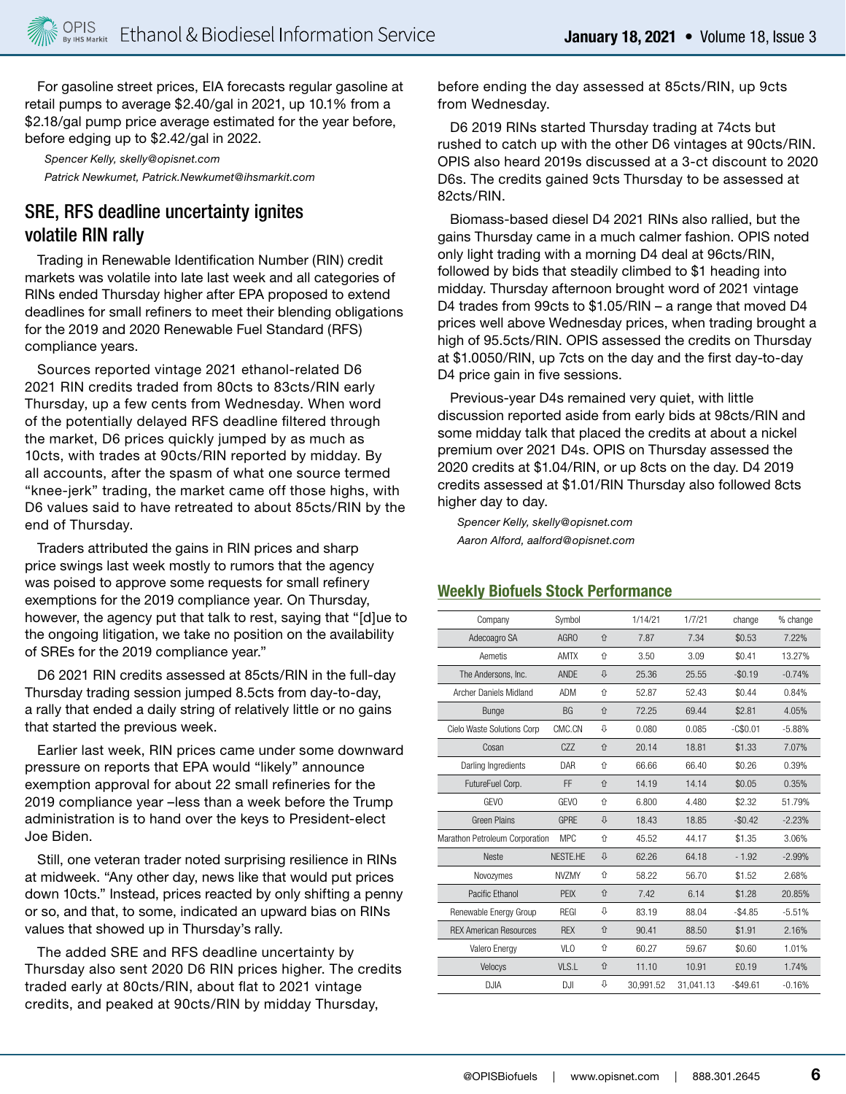For gasoline street prices, EIA forecasts regular gasoline at retail pumps to average \$2.40/gal in 2021, up 10.1% from a \$2.18/gal pump price average estimated for the year before, before edging up to \$2.42/gal in 2022.

*Spencer Kelly, skelly@opisnet.com Patrick Newkumet, Patrick.Newkumet@ihsmarkit.com*

# SRE, RFS deadline uncertainty ignites volatile RIN rally

Trading in Renewable Identification Number (RIN) credit markets was volatile into late last week and all categories of RINs ended Thursday higher after EPA proposed to extend deadlines for small refiners to meet their blending obligations for the 2019 and 2020 Renewable Fuel Standard (RFS) compliance years.

Sources reported vintage 2021 ethanol-related D6 2021 RIN credits traded from 80cts to 83cts/RIN early Thursday, up a few cents from Wednesday. When word of the potentially delayed RFS deadline filtered through the market, D6 prices quickly jumped by as much as 10cts, with trades at 90cts/RIN reported by midday. By all accounts, after the spasm of what one source termed "knee-jerk" trading, the market came off those highs, with D6 values said to have retreated to about 85cts/RIN by the end of Thursday.

Traders attributed the gains in RIN prices and sharp price swings last week mostly to rumors that the agency was poised to approve some requests for small refinery exemptions for the 2019 compliance year. On Thursday, however, the agency put that talk to rest, saying that "[d]ue to the ongoing litigation, we take no position on the availability of SREs for the 2019 compliance year."

D6 2021 RIN credits assessed at 85cts/RIN in the full-day Thursday trading session jumped 8.5cts from day-to-day, a rally that ended a daily string of relatively little or no gains that started the previous week.

Earlier last week, RIN prices came under some downward pressure on reports that EPA would "likely" announce exemption approval for about 22 small refineries for the 2019 compliance year –less than a week before the Trump administration is to hand over the keys to President-elect Joe Biden.

Still, one veteran trader noted surprising resilience in RINs at midweek. "Any other day, news like that would put prices down 10cts." Instead, prices reacted by only shifting a penny or so, and that, to some, indicated an upward bias on RINs values that showed up in Thursday's rally.

The added SRE and RFS deadline uncertainty by Thursday also sent 2020 D6 RIN prices higher. The credits traded early at 80cts/RIN, about flat to 2021 vintage credits, and peaked at 90cts/RIN by midday Thursday,

before ending the day assessed at 85cts/RIN, up 9cts from Wednesday.

D6 2019 RINs started Thursday trading at 74cts but rushed to catch up with the other D6 vintages at 90cts/RIN. OPIS also heard 2019s discussed at a 3-ct discount to 2020 D6s. The credits gained 9cts Thursday to be assessed at 82cts/RIN.

Biomass-based diesel D4 2021 RINs also rallied, but the gains Thursday came in a much calmer fashion. OPIS noted only light trading with a morning D4 deal at 96cts/RIN, followed by bids that steadily climbed to \$1 heading into midday. Thursday afternoon brought word of 2021 vintage D4 trades from 99cts to \$1.05/RIN – a range that moved D4 prices well above Wednesday prices, when trading brought a high of 95.5cts/RIN. OPIS assessed the credits on Thursday at \$1.0050/RIN, up 7cts on the day and the first day-to-day D4 price gain in five sessions.

Previous-year D4s remained very quiet, with little discussion reported aside from early bids at 98cts/RIN and some midday talk that placed the credits at about a nickel premium over 2021 D4s. OPIS on Thursday assessed the 2020 credits at \$1.04/RIN, or up 8cts on the day. D4 2019 credits assessed at \$1.01/RIN Thursday also followed 8cts higher day to day.

*Spencer Kelly, skelly@opisnet.com Aaron Alford, aalford@opisnet.com*

#### **Weekly Biofuels Stock Performance**

| Company                        | Svmbol          |   | 1/14/21   | 1/7/21    | change    | % change |
|--------------------------------|-----------------|---|-----------|-----------|-----------|----------|
| Adecoagro SA                   | AGRO            | 介 | 7.87      | 7.34      | \$0.53    | 7.22%    |
| Aemetis                        | <b>AMTX</b>     | ⇑ | 3.50      | 3.09      | \$0.41    | 13.27%   |
| The Andersons, Inc.            | <b>ANDF</b>     | ⇩ | 25.36     | 25.55     | $-$0.19$  | $-0.74%$ |
| Archer Daniels Midland         | <b>ADM</b>      | 介 | 52.87     | 52.43     | \$0.44    | 0.84%    |
| Bunge                          | <b>BG</b>       | 仚 | 72.25     | 69.44     | \$2.81    | 4.05%    |
| Cielo Waste Solutions Corp     | CMC.CN          | ⇩ | 0.080     | 0.085     | $-C$0.01$ | $-5.88%$ |
| Cosan                          | C <sub>77</sub> | 介 | 20.14     | 18.81     | \$1.33    | 7.07%    |
| Darling Ingredients            | DAR             | 介 | 66.66     | 66.40     | \$0.26    | 0.39%    |
| FutureFuel Corp.               | FF              | 仚 | 14.19     | 14.14     | \$0.05    | 0.35%    |
| <b>GEVO</b>                    | <b>GEVO</b>     | ⇧ | 6.800     | 4.480     | \$2.32    | 51.79%   |
| <b>Green Plains</b>            | <b>GPRF</b>     | ⇩ | 18.43     | 18.85     | $-$0.42$  | $-2.23%$ |
| Marathon Petroleum Corporation | <b>MPC</b>      | 介 | 45.52     | 44.17     | \$1.35    | 3.06%    |
| <b>Neste</b>                   | NFSTF.HF        | ⇩ | 62.26     | 64.18     | $-4.92$   | $-2.99%$ |
| Novozymes                      | <b>NVZMY</b>    | 介 | 58.22     | 56.70     | \$1.52    | 2.68%    |
| Pacific Fthanol                | <b>PEIX</b>     | 介 | 7.42      | 6.14      | \$1.28    | 20.85%   |
| Renewable Energy Group         | <b>REGI</b>     | ⇩ | 83.19     | 88.04     | $-$4.85$  | $-5.51%$ |
| <b>RFX American Resources</b>  | <b>RFX</b>      | 介 | 90.41     | 88.50     | \$1.91    | 2.16%    |
| Valero Energy                  | VL <sub>0</sub> | 介 | 60.27     | 59.67     | \$0.60    | 1.01%    |
| Velocys                        | VLS.L           | 介 | 11.10     | 10.91     | £0.19     | 1.74%    |
| <b>DJIA</b>                    | D.H             | ⇩ | 30,991.52 | 31,041.13 | $-$49.61$ | $-0.16%$ |
|                                |                 |   |           |           |           |          |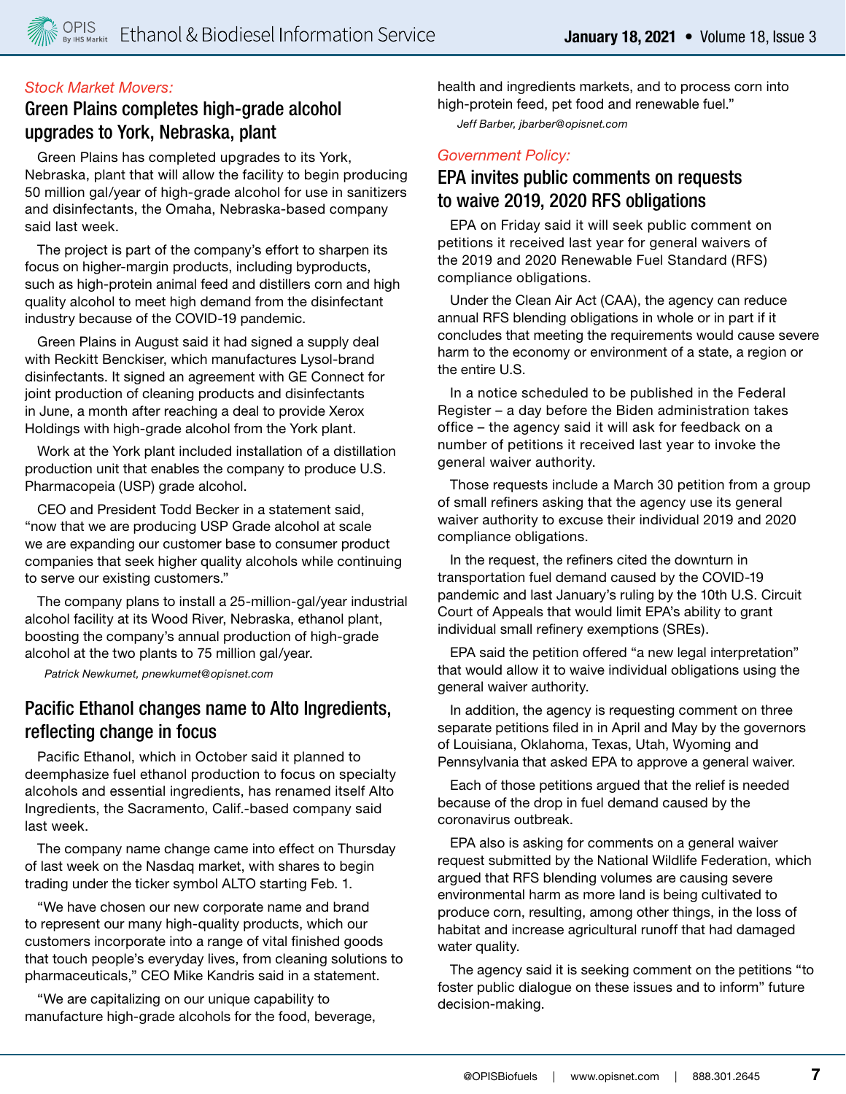### *Stock Market Movers:*

# Green Plains completes high-grade alcohol upgrades to York, Nebraska, plant

Green Plains has completed upgrades to its York, Nebraska, plant that will allow the facility to begin producing 50 million gal/year of high-grade alcohol for use in sanitizers and disinfectants, the Omaha, Nebraska-based company said last week.

The project is part of the company's effort to sharpen its focus on higher-margin products, including byproducts, such as high-protein animal feed and distillers corn and high quality alcohol to meet high demand from the disinfectant industry because of the COVID-19 pandemic.

Green Plains in August said it had signed a supply deal with Reckitt Benckiser, which manufactures Lysol-brand disinfectants. It signed an agreement with GE Connect for joint production of cleaning products and disinfectants in June, a month after reaching a deal to provide Xerox Holdings with high-grade alcohol from the York plant.

Work at the York plant included installation of a distillation production unit that enables the company to produce U.S. Pharmacopeia (USP) grade alcohol.

CEO and President Todd Becker in a statement said, "now that we are producing USP Grade alcohol at scale we are expanding our customer base to consumer product companies that seek higher quality alcohols while continuing to serve our existing customers."

The company plans to install a 25-million-gal/year industrial alcohol facility at its Wood River, Nebraska, ethanol plant, boosting the company's annual production of high-grade alcohol at the two plants to 75 million gal/year.

*Patrick Newkumet, pnewkumet@opisnet.com*

# Pacific Ethanol changes name to Alto Ingredients, reflecting change in focus

Pacific Ethanol, which in October said it planned to deemphasize fuel ethanol production to focus on specialty alcohols and essential ingredients, has renamed itself Alto Ingredients, the Sacramento, Calif.-based company said last week.

The company name change came into effect on Thursday of last week on the Nasdaq market, with shares to begin trading under the ticker symbol ALTO starting Feb. 1.

"We have chosen our new corporate name and brand to represent our many high-quality products, which our customers incorporate into a range of vital finished goods that touch people's everyday lives, from cleaning solutions to pharmaceuticals," CEO Mike Kandris said in a statement.

"We are capitalizing on our unique capability to manufacture high-grade alcohols for the food, beverage, health and ingredients markets, and to process corn into high-protein feed, pet food and renewable fuel."

*Jeff Barber, jbarber@opisnet.com* 

#### *Government Policy:*

# EPA invites public comments on requests to waive 2019, 2020 RFS obligations

EPA on Friday said it will seek public comment on petitions it received last year for general waivers of the 2019 and 2020 Renewable Fuel Standard (RFS) compliance obligations.

Under the Clean Air Act (CAA), the agency can reduce annual RFS blending obligations in whole or in part if it concludes that meeting the requirements would cause severe harm to the economy or environment of a state, a region or the entire U.S.

In a notice scheduled to be published in the Federal Register – a day before the Biden administration takes office – the agency said it will ask for feedback on a number of petitions it received last year to invoke the general waiver authority.

Those requests include a March 30 petition from a group of small refiners asking that the agency use its general waiver authority to excuse their individual 2019 and 2020 compliance obligations.

In the request, the refiners cited the downturn in transportation fuel demand caused by the COVID-19 pandemic and last January's ruling by the 10th U.S. Circuit Court of Appeals that would limit EPA's ability to grant individual small refinery exemptions (SREs).

EPA said the petition offered "a new legal interpretation" that would allow it to waive individual obligations using the general waiver authority.

In addition, the agency is requesting comment on three separate petitions filed in in April and May by the governors of Louisiana, Oklahoma, Texas, Utah, Wyoming and Pennsylvania that asked EPA to approve a general waiver.

Each of those petitions argued that the relief is needed because of the drop in fuel demand caused by the coronavirus outbreak.

EPA also is asking for comments on a general waiver request submitted by the National Wildlife Federation, which argued that RFS blending volumes are causing severe environmental harm as more land is being cultivated to produce corn, resulting, among other things, in the loss of habitat and increase agricultural runoff that had damaged water quality.

The agency said it is seeking comment on the petitions "to foster public dialogue on these issues and to inform" future decision-making.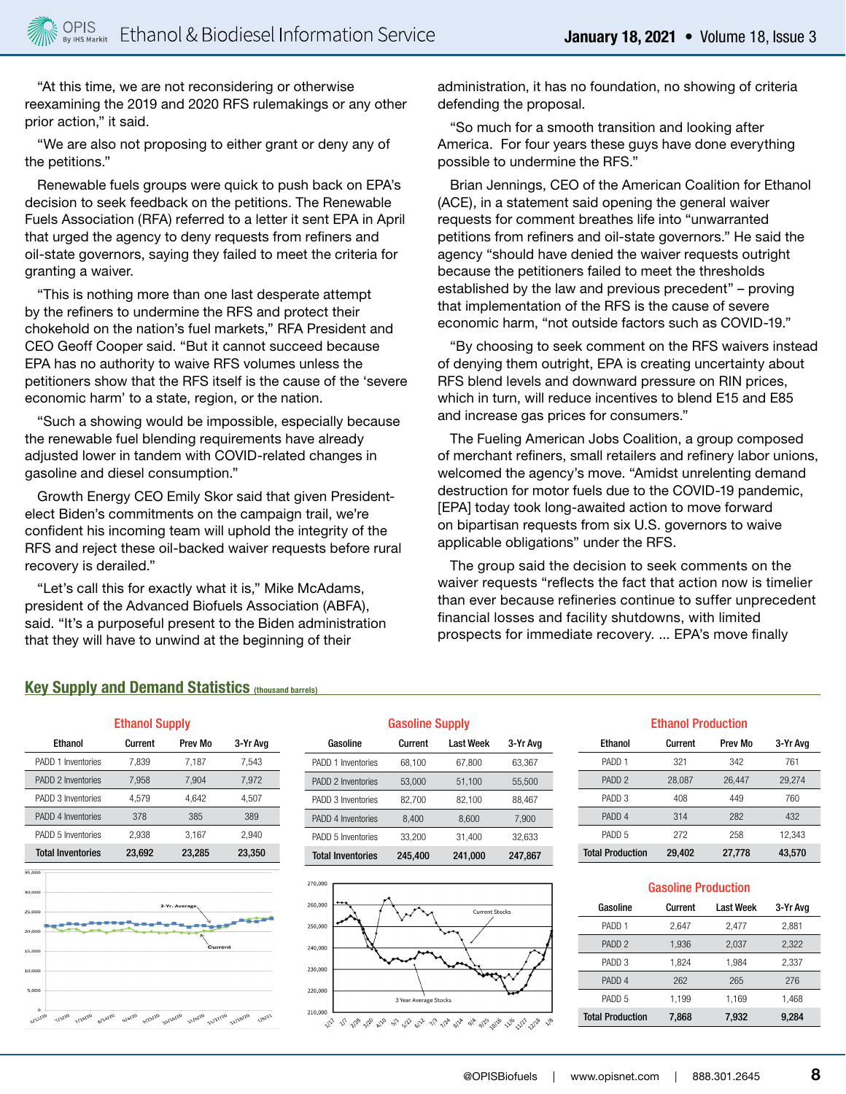"At this time, we are not reconsidering or otherwise reexamining the 2019 and 2020 RFS rulemakings or any other prior action," it said.

"We are also not proposing to either grant or deny any of the petitions."

Renewable fuels groups were quick to push back on EPA's decision to seek feedback on the petitions. The Renewable Fuels Association (RFA) referred to a letter it sent EPA in April that urged the agency to deny requests from refiners and oil-state governors, saying they failed to meet the criteria for granting a waiver.

"This is nothing more than one last desperate attempt by the refiners to undermine the RFS and protect their chokehold on the nation's fuel markets," RFA President and CEO Geoff Cooper said. "But it cannot succeed because EPA has no authority to waive RFS volumes unless the petitioners show that the RFS itself is the cause of the 'severe economic harm' to a state, region, or the nation.

"Such a showing would be impossible, especially because the renewable fuel blending requirements have already adjusted lower in tandem with COVID-related changes in gasoline and diesel consumption."

Growth Energy CEO Emily Skor said that given Presidentelect Biden's commitments on the campaign trail, we're confident his incoming team will uphold the integrity of the RFS and reject these oil-backed waiver requests before rural recovery is derailed."

"Let's call this for exactly what it is," Mike McAdams, president of the Advanced Biofuels Association (ABFA), said. "It's a purposeful present to the Biden administration that they will have to unwind at the beginning of their

administration, it has no foundation, no showing of criteria defending the proposal.

"So much for a smooth transition and looking after America. For four years these guys have done everything possible to undermine the RFS."

Brian Jennings, CEO of the American Coalition for Ethanol (ACE), in a statement said opening the general waiver requests for comment breathes life into "unwarranted petitions from refiners and oil-state governors." He said the agency "should have denied the waiver requests outright because the petitioners failed to meet the thresholds established by the law and previous precedent" – proving that implementation of the RFS is the cause of severe economic harm, "not outside factors such as COVID-19."

"By choosing to seek comment on the RFS waivers instead of denying them outright, EPA is creating uncertainty about RFS blend levels and downward pressure on RIN prices, which in turn, will reduce incentives to blend E15 and E85 and increase gas prices for consumers."

The Fueling American Jobs Coalition, a group composed of merchant refiners, small retailers and refinery labor unions, welcomed the agency's move. "Amidst unrelenting demand destruction for motor fuels due to the COVID-19 pandemic, [EPA] today took long-awaited action to move forward on bipartisan requests from six U.S. governors to waive applicable obligations" under the RFS.

The group said the decision to seek comments on the waiver requests "reflects the fact that action now is timelier than ever because refineries continue to suffer unprecedent financial losses and facility shutdowns, with limited prospects for immediate recovery. ... EPA's move finally

#### **Key Supply and Demand Statistics (thousand barrels)**

| <b>Ethanol Supply</b>    |               |         |          |  |  |
|--------------------------|---------------|---------|----------|--|--|
| Ethanol                  | Current       | Prev Mo | 3-Yr Avg |  |  |
| PADD 1 Inventories       | 7,839         | 7,187   | 7,543    |  |  |
| PADD 2 Inventories       | 7,958         | 7,904   | 7,972    |  |  |
| PADD 3 Inventories       | 4,579         | 4.642   | 4,507    |  |  |
| PADD 4 Inventories       | 378           | 385     | 389      |  |  |
| PADD 5 Inventories       | 2,938         | 3.167   | 2,940    |  |  |
| <b>Total Inventories</b> | 23,692        | 23,285  | 23,350   |  |  |
| 35,000                   |               |         |          |  |  |
| 30,000                   |               |         |          |  |  |
| 25,000                   | 3-Yr. Average |         |          |  |  |
|                          |               |         |          |  |  |

10,00

 $5.000$ 



| <b>Gasoline Supply</b>   |         |           |          |  |
|--------------------------|---------|-----------|----------|--|
| Gasoline                 | Current | Last Week | 3-Yr Avg |  |
| PADD 1 Inventories       | 68.100  | 67.800    | 63.367   |  |
| PADD 2 Inventories       | 53.000  | 51,100    | 55.500   |  |
| PADD 3 Inventories       | 82,700  | 82,100    | 88,467   |  |
| PADD 4 Inventories       | 8.400   | 8.600     | 7.900    |  |
| PADD 5 Inventories       | 33,200  | 31,400    | 32,633   |  |
| <b>Total Inventories</b> | 245,400 | 241,000   | 247,867  |  |



# Ethanol Production Ethanol Current Prev Mo 3-Yr Avg

| <b>Total Production</b> | 29,402 | 27,778 | 43,570 |
|-------------------------|--------|--------|--------|
| PADD 5                  | 272    | 258    | 12.343 |
| PADD <sub>4</sub>       | 314    | 282    | 432    |
| PADD 3                  | 408    | 449    | 760    |
| PADD <sub>2</sub>       | 28.087 | 26,447 | 29.274 |
| PADD <sub>1</sub>       | 321    | 342    | 761    |

| <b>Gasoline Production</b> |         |           |          |  |
|----------------------------|---------|-----------|----------|--|
| Gasoline                   | Current | Last Week | 3-Yr Avg |  |
| PADD <sub>1</sub>          | 2.647   | 2,477     | 2,881    |  |
| PADD <sub>2</sub>          | 1,936   | 2,037     | 2,322    |  |
| PADD 3                     | 1,824   | 1,984     | 2,337    |  |
| PADD <sub>4</sub>          | 262     | 265       | 276      |  |
| PADD 5                     | 1.199   | 1.169     | 1.468    |  |
| <b>Total Production</b>    | 7,868   | 7,932     | 9.284    |  |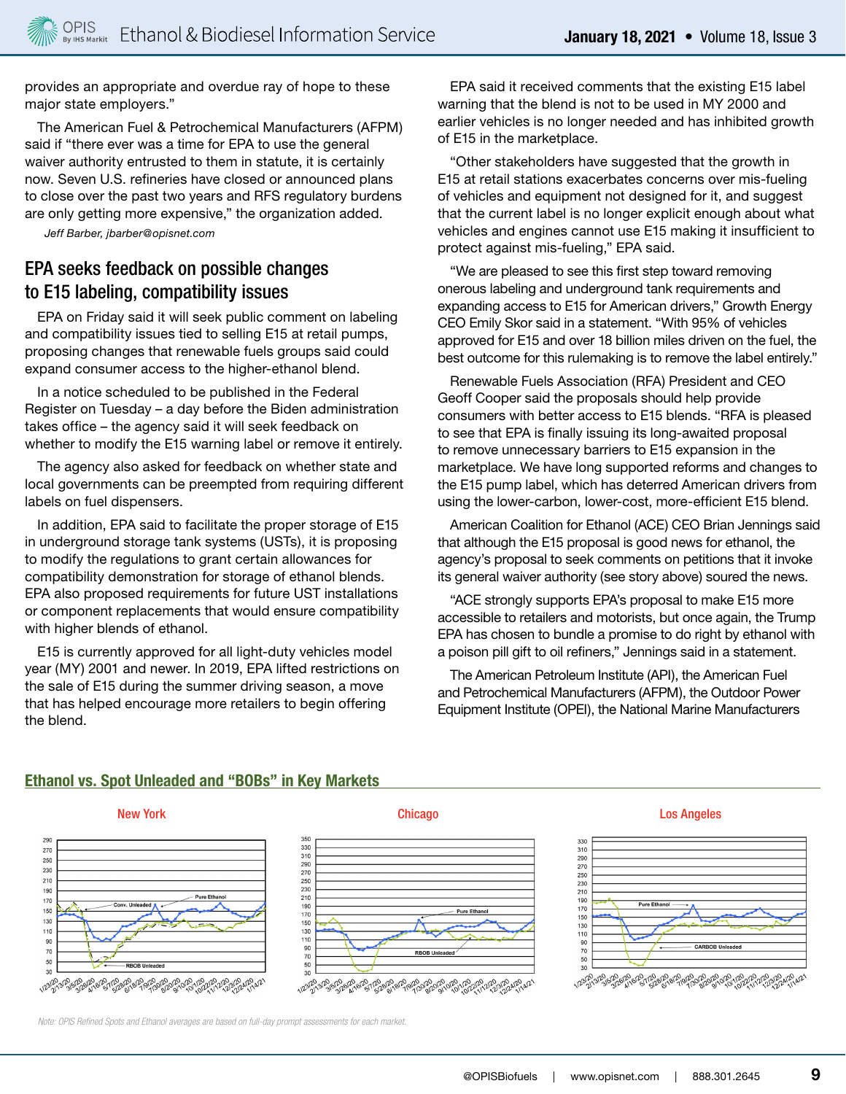provides an appropriate and overdue ray of hope to these major state employers."

The American Fuel & Petrochemical Manufacturers (AFPM) said if "there ever was a time for EPA to use the general waiver authority entrusted to them in statute, it is certainly now. Seven U.S. refineries have closed or announced plans to close over the past two years and RFS regulatory burdens are only getting more expensive," the organization added.

*Jeff Barber, jbarber@opisnet.com*

# EPA seeks feedback on possible changes to E15 labeling, compatibility issues

EPA on Friday said it will seek public comment on labeling and compatibility issues tied to selling E15 at retail pumps, proposing changes that renewable fuels groups said could expand consumer access to the higher-ethanol blend.

In a notice scheduled to be published in the Federal Register on Tuesday – a day before the Biden administration takes office – the agency said it will seek feedback on whether to modify the E15 warning label or remove it entirely.

The agency also asked for feedback on whether state and local governments can be preempted from requiring different labels on fuel dispensers.

In addition, EPA said to facilitate the proper storage of E15 in underground storage tank systems (USTs), it is proposing to modify the regulations to grant certain allowances for compatibility demonstration for storage of ethanol blends. EPA also proposed requirements for future UST installations or component replacements that would ensure compatibility with higher blends of ethanol.

E15 is currently approved for all light-duty vehicles model year (MY) 2001 and newer. In 2019, EPA lifted restrictions on the sale of E15 during the summer driving season, a move that has helped encourage more retailers to begin offering the blend.

EPA said it received comments that the existing E15 label warning that the blend is not to be used in MY 2000 and earlier vehicles is no longer needed and has inhibited growth of E15 in the marketplace.

"Other stakeholders have suggested that the growth in E15 at retail stations exacerbates concerns over mis-fueling of vehicles and equipment not designed for it, and suggest that the current label is no longer explicit enough about what vehicles and engines cannot use E15 making it insufficient to protect against mis-fueling," EPA said.

"We are pleased to see this first step toward removing onerous labeling and underground tank requirements and expanding access to E15 for American drivers," Growth Energy CEO Emily Skor said in a statement. "With 95% of vehicles approved for E15 and over 18 billion miles driven on the fuel, the best outcome for this rulemaking is to remove the label entirely."

Renewable Fuels Association (RFA) President and CEO Geoff Cooper said the proposals should help provide consumers with better access to E15 blends. "RFA is pleased to see that EPA is finally issuing its long-awaited proposal to remove unnecessary barriers to E15 expansion in the marketplace. We have long supported reforms and changes to the E15 pump label, which has deterred American drivers from using the lower-carbon, lower-cost, more-efficient E15 blend.

American Coalition for Ethanol (ACE) CEO Brian Jennings said that although the E15 proposal is good news for ethanol, the agency's proposal to seek comments on petitions that it invoke its general waiver authority (see story above) soured the news.

"ACE strongly supports EPA's proposal to make E15 more accessible to retailers and motorists, but once again, the Trump EPA has chosen to bundle a promise to do right by ethanol with a poison pill gift to oil refiners," Jennings said in a statement.

The American Petroleum Institute (API), the American Fuel and Petrochemical Manufacturers (AFPM), the Outdoor Power Equipment Institute (OPEI), the National Marine Manufacturers

#### **Ethanol vs. Spot Unleaded and "BOBs" in Key Markets**



 $\frac{1}{2}$ 

<sub>૱ૡ૱ૡૢ</sub>૱ૹ૱ૹ૱ૡૣૣૢૺ૱૱૱૱૱૱૱૱૱૱૱૱૱૱૱૱૱૱૱૱

290

 $27($ 

 $250$ 

230

210

 $19<sub>0</sub>$ 

 $17<sub>0</sub>$ 

150

130

110

90  $7<sup>°</sup>$ 

50

 $30$ 



#### New York Chicago Los Angeles



*Note: OPIS Refined Spots and Ethanol averages are based on full-day prompt assessments for each market.*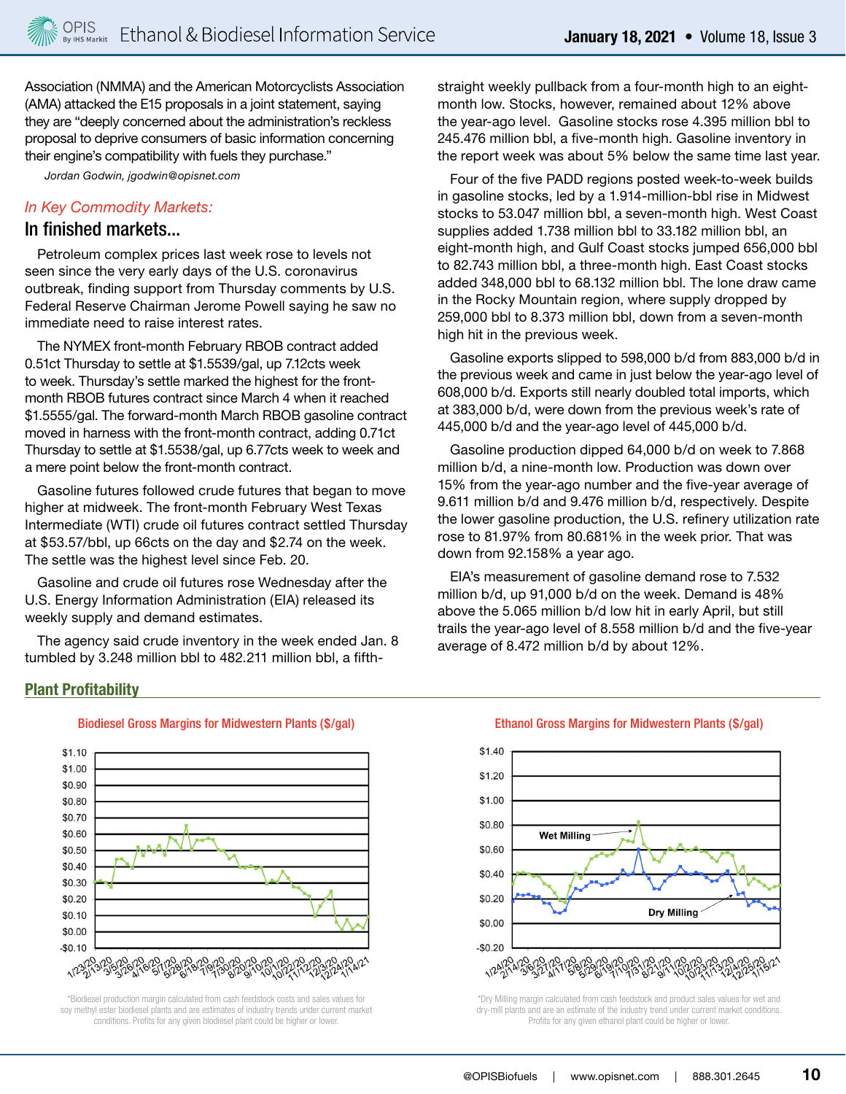Association (NMMA) and the American Motorcyclists Association (AMA) attacked the E15 proposals in a joint statement, saying they are "deeply concerned about the administration's reckless proposal to deprive consumers of basic information concerning their engine's compatibility with fuels they purchase."

*Jordan Godwin, jgodwin@opisnet.com*

#### *In Key Commodity Markets:*

### In finished markets...

Petroleum complex prices last week rose to levels not seen since the very early days of the U.S. coronavirus outbreak, finding support from Thursday comments by U.S. Federal Reserve Chairman Jerome Powell saying he saw no immediate need to raise interest rates.

The NYMEX front-month February RBOB contract added 0.51ct Thursday to settle at \$1.5539/gal, up 7.12cts week to week. Thursday's settle marked the highest for the frontmonth RBOB futures contract since March 4 when it reached \$1.5555/gal. The forward-month March RBOB gasoline contract moved in harness with the front-month contract, adding 0.71ct Thursday to settle at \$1.5538/gal, up 6.77cts week to week and a mere point below the front-month contract.

Gasoline futures followed crude futures that began to move higher at midweek. The front-month February West Texas Intermediate (WTI) crude oil futures contract settled Thursday at \$53.57/bbl, up 66cts on the day and \$2.74 on the week. The settle was the highest level since Feb. 20.

Gasoline and crude oil futures rose Wednesday after the U.S. Energy Information Administration (EIA) released its weekly supply and demand estimates.

The agency said crude inventory in the week ended Jan. 8 tumbled by 3.248 million bbl to 482.211 million bbl, a fifthstraight weekly pullback from a four-month high to an eightmonth low. Stocks, however, remained about 12% above the year-ago level. Gasoline stocks rose 4.395 million bbl to 245.476 million bbl, a five-month high. Gasoline inventory in the report week was about 5% below the same time last year.

Four of the five PADD regions posted week-to-week builds in gasoline stocks, led by a 1.914-million-bbl rise in Midwest stocks to 53.047 million bbl, a seven-month high. West Coast supplies added 1.738 million bbl to 33.182 million bbl, an eight-month high, and Gulf Coast stocks jumped 656,000 bbl to 82.743 million bbl, a three-month high. East Coast stocks added 348,000 bbl to 68.132 million bbl. The lone draw came in the Rocky Mountain region, where supply dropped by 259,000 bbl to 8.373 million bbl, down from a seven-month high hit in the previous week.

Gasoline exports slipped to 598,000 b/d from 883,000 b/d in the previous week and came in just below the year-ago level of 608,000 b/d. Exports still nearly doubled total imports, which at 383,000 b/d, were down from the previous week's rate of 445,000 b/d and the year-ago level of 445,000 b/d.

Gasoline production dipped 64,000 b/d on week to 7.868 million b/d, a nine-month low. Production was down over 15% from the year-ago number and the five-year average of 9.611 million b/d and 9.476 million b/d, respectively. Despite the lower gasoline production, the U.S. refinery utilization rate rose to 81.97% from 80.681% in the week prior. That was down from 92.158% a year ago.

EIA's measurement of gasoline demand rose to 7.532 million b/d, up 91,000 b/d on the week. Demand is 48% above the 5.065 million b/d low hit in early April, but still trails the year-ago level of 8.558 million b/d and the five-year average of 8.472 million b/d by about 12%.

#### **Plant Profitability**



\*Biodiesel production margin calculated from cash feedstock costs and sales values for soy methyl ester biodiesel plants and are estimates of industry trends under current market conditions. Profits for any given biodiesel plant could be higher or lower.

#### Biodiesel Gross Margins for Midwestern Plants (\$/gal) Ethanol Gross Margins for Midwestern Plants (\$/gal)



\*Dry Milling margin calculated from cash feedstock and product sales values for wet and dry-mill plants and are an estimate of the industry trend under current market conditions. Profits for any given ethanol plant could be higher or lower.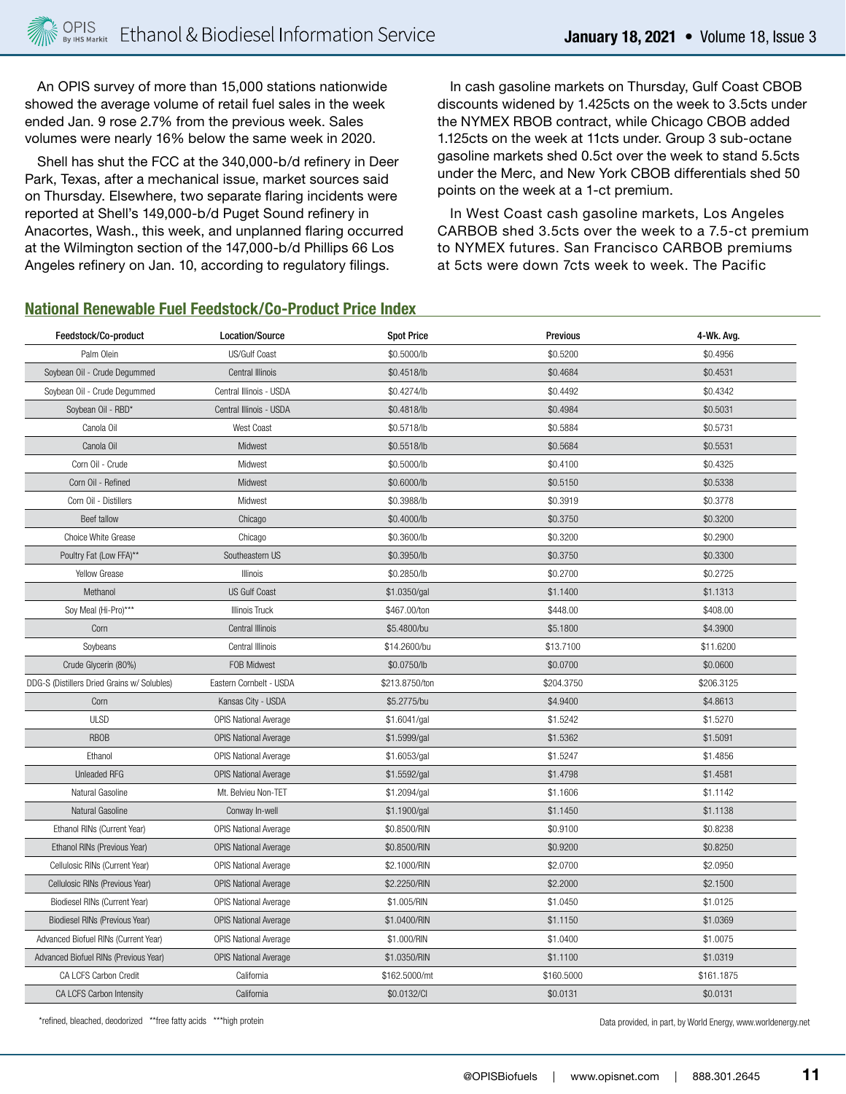An OPIS survey of more than 15,000 stations nationwide showed the average volume of retail fuel sales in the week ended Jan. 9 rose 2.7% from the previous week. Sales volumes were nearly 16% below the same week in 2020.

Shell has shut the FCC at the 340,000-b/d refinery in Deer Park, Texas, after a mechanical issue, market sources said on Thursday. Elsewhere, two separate flaring incidents were reported at Shell's 149,000-b/d Puget Sound refinery in Anacortes, Wash., this week, and unplanned flaring occurred at the Wilmington section of the 147,000-b/d Phillips 66 Los Angeles refinery on Jan. 10, according to regulatory filings.

In cash gasoline markets on Thursday, Gulf Coast CBOB discounts widened by 1.425cts on the week to 3.5cts under the NYMEX RBOB contract, while Chicago CBOB added 1.125cts on the week at 11cts under. Group 3 sub-octane gasoline markets shed 0.5ct over the week to stand 5.5cts under the Merc, and New York CBOB differentials shed 50 points on the week at a 1-ct premium.

In West Coast cash gasoline markets, Los Angeles CARBOB shed 3.5cts over the week to a 7.5-ct premium to NYMEX futures. San Francisco CARBOB premiums at 5cts were down 7cts week to week. The Pacific

#### **National Renewable Fuel Feedstock/Co-Product Price Index**

| Feedstock/Co-product                        | Location/Source              | <b>Spot Price</b> | <b>Previous</b> | 4-Wk. Avg. |
|---------------------------------------------|------------------------------|-------------------|-----------------|------------|
| Palm Olein                                  | US/Gulf Coast                | \$0.5000/lb       | \$0.5200        | \$0.4956   |
| Soybean Oil - Crude Degummed                | Central Illinois             | \$0.4518/lb       | \$0.4684        | \$0.4531   |
| Soybean Oil - Crude Degummed                | Central Illinois - USDA      | \$0.4274/lb       | \$0.4492        | \$0.4342   |
| Soybean Oil - RBD*                          | Central Illinois - USDA      | \$0.4818/lb       | \$0.4984        | \$0.5031   |
| Canola Oil                                  | West Coast                   | \$0.5718/lb       | \$0.5884        | \$0.5731   |
| Canola Oil                                  | Midwest                      | \$0.5518/lb       | \$0.5684        | \$0.5531   |
| Corn Oil - Crude                            | Midwest                      | \$0.5000/lb       | \$0.4100        | \$0.4325   |
| Corn Oil - Refined                          | Midwest                      | \$0.6000/lb       | \$0.5150        | \$0.5338   |
| Corn Oil - Distillers                       | Midwest                      | \$0.3988/lb       | \$0.3919        | \$0.3778   |
| Beef tallow                                 | Chicago                      | \$0.4000/lb       | \$0.3750        | \$0.3200   |
| Choice White Grease                         | Chicago                      | \$0.3600/lb       | \$0.3200        | \$0.2900   |
| Poultry Fat (Low FFA)**                     | Southeastern US              | \$0.3950/lb       | \$0.3750        | \$0.3300   |
| Yellow Grease                               | Illinois                     | \$0.2850/lb       | \$0.2700        | \$0.2725   |
| Methanol                                    | <b>US Gulf Coast</b>         | \$1.0350/gal      | \$1.1400        | \$1.1313   |
| Soy Meal (Hi-Pro)***                        | <b>Illinois Truck</b>        | \$467.00/ton      | \$448.00        | \$408.00   |
| Corn                                        | Central Illinois             | \$5.4800/bu       | \$5.1800        | \$4.3900   |
| Soybeans                                    | Central Illinois             | \$14.2600/bu      | \$13.7100       | \$11.6200  |
| Crude Glycerin (80%)                        | FOB Midwest                  | \$0.0750/lb       | \$0.0700        | \$0.0600   |
| DDG-S (Distillers Dried Grains w/ Solubles) | Eastern Cornbelt - USDA      | \$213.8750/ton    | \$204.3750      | \$206.3125 |
| Corn                                        | Kansas City - USDA           | \$5.2775/bu       | \$4.9400        | \$4.8613   |
| <b>ULSD</b>                                 | <b>OPIS National Average</b> | \$1.6041/gal      | \$1.5242        | \$1.5270   |
| <b>RBOB</b>                                 | <b>OPIS National Average</b> | \$1.5999/gal      | \$1.5362        | \$1.5091   |
| Ethanol                                     | <b>OPIS National Average</b> | \$1.6053/gal      | \$1.5247        | \$1.4856   |
| Unleaded RFG                                | <b>OPIS National Average</b> | \$1.5592/gal      | \$1.4798        | \$1.4581   |
| Natural Gasoline                            | Mt. Belvieu Non-TET          | \$1.2094/gal      | \$1.1606        | \$1.1142   |
| Natural Gasoline                            | Conway In-well               | \$1.1900/gal      | \$1.1450        | \$1.1138   |
| Ethanol RINs (Current Year)                 | OPIS National Average        | \$0.8500/RIN      | \$0.9100        | \$0.8238   |
| Ethanol RINs (Previous Year)                | OPIS National Average        | \$0.8500/RIN      | \$0.9200        | \$0.8250   |
| Cellulosic RINs (Current Year)              | <b>OPIS National Average</b> | \$2.1000/RIN      | \$2.0700        | \$2.0950   |
| Cellulosic RINs (Previous Year)             | <b>OPIS National Average</b> | \$2.2250/RIN      | \$2.2000        | \$2.1500   |
| Biodiesel RINs (Current Year)               | <b>OPIS National Average</b> | \$1.005/RIN       | \$1.0450        | \$1.0125   |
| Biodiesel RINs (Previous Year)              | OPIS National Average        | \$1.0400/RIN      | \$1.1150        | \$1.0369   |
| Advanced Biofuel RINs (Current Year)        | <b>OPIS National Average</b> | \$1.000/RIN       | \$1.0400        | \$1.0075   |
| Advanced Biofuel RINs (Previous Year)       | <b>OPIS National Average</b> | \$1.0350/RIN      | \$1.1100        | \$1.0319   |
| CA LCFS Carbon Credit                       | California                   | \$162.5000/mt     | \$160.5000      | \$161.1875 |
| CA LCFS Carbon Intensity                    | California                   | \$0.0132/Cl       | \$0.0131        | \$0.0131   |

\*refined, bleached, deodorized \*\*free fatty acids \*\*\*high protein Data provided, in part, by World Energy, www.worldenergy.net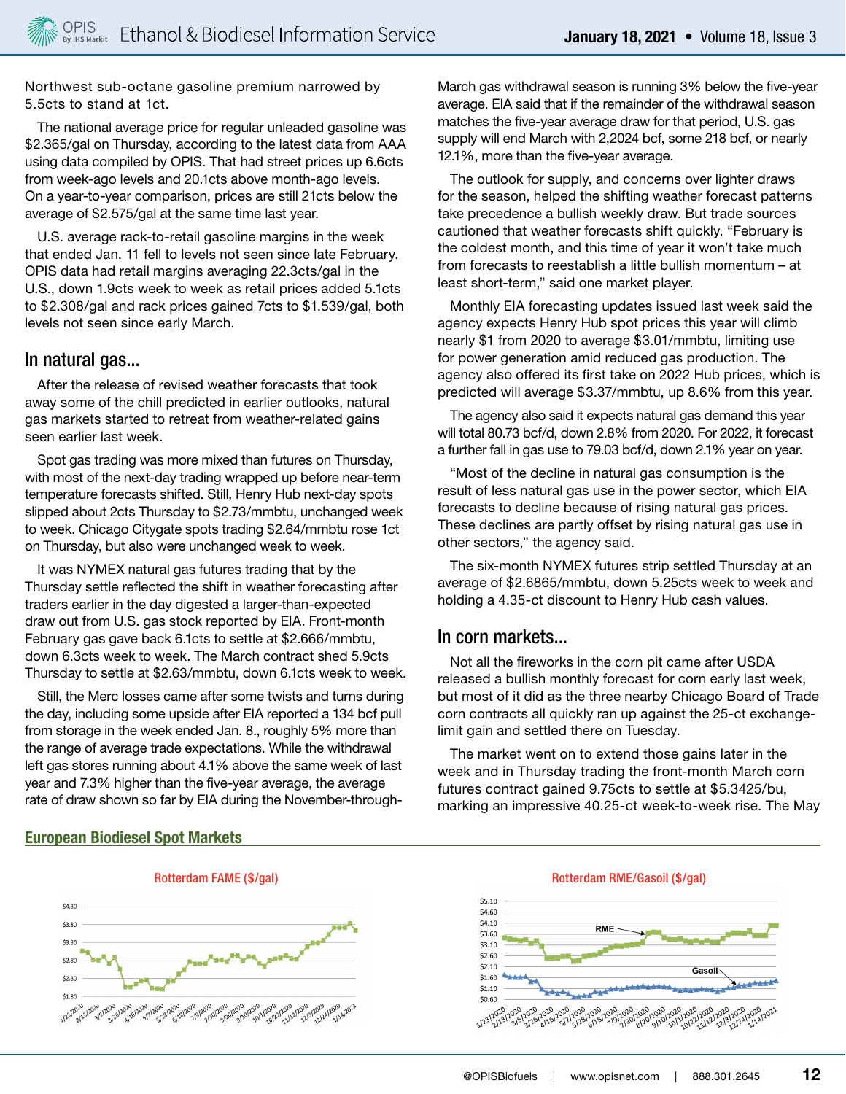Northwest sub-octane gasoline premium narrowed by 5.5cts to stand at 1ct.

The national average price for regular unleaded gasoline was \$2.365/gal on Thursday, according to the latest data from AAA using data compiled by OPIS. That had street prices up 6.6cts from week-ago levels and 20.1cts above month-ago levels. On a year-to-year comparison, prices are still 21cts below the average of \$2.575/gal at the same time last year.

U.S. average rack-to-retail gasoline margins in the week that ended Jan. 11 fell to levels not seen since late February. OPIS data had retail margins averaging 22.3cts/gal in the U.S., down 1.9cts week to week as retail prices added 5.1cts to \$2.308/gal and rack prices gained 7cts to \$1.539/gal, both levels not seen since early March.

#### In natural gas...

After the release of revised weather forecasts that took away some of the chill predicted in earlier outlooks, natural gas markets started to retreat from weather-related gains seen earlier last week.

Spot gas trading was more mixed than futures on Thursday, with most of the next-day trading wrapped up before near-term temperature forecasts shifted. Still, Henry Hub next-day spots slipped about 2cts Thursday to \$2.73/mmbtu, unchanged week to week. Chicago Citygate spots trading \$2.64/mmbtu rose 1ct on Thursday, but also were unchanged week to week.

It was NYMEX natural gas futures trading that by the Thursday settle reflected the shift in weather forecasting after traders earlier in the day digested a larger-than-expected draw out from U.S. gas stock reported by EIA. Front-month February gas gave back 6.1cts to settle at \$2.666/mmbtu, down 6.3cts week to week. The March contract shed 5.9cts Thursday to settle at \$2.63/mmbtu, down 6.1cts week to week.

Still, the Merc losses came after some twists and turns during the day, including some upside after EIA reported a 134 bcf pull from storage in the week ended Jan. 8., roughly 5% more than the range of average trade expectations. While the withdrawal left gas stores running about 4.1% above the same week of last year and 7.3% higher than the five-year average, the average rate of draw shown so far by EIA during the November-throughMarch gas withdrawal season is running 3% below the five-year average. EIA said that if the remainder of the withdrawal season matches the five-year average draw for that period, U.S. gas supply will end March with 2,2024 bcf, some 218 bcf, or nearly 12.1%, more than the five-year average.

The outlook for supply, and concerns over lighter draws for the season, helped the shifting weather forecast patterns take precedence a bullish weekly draw. But trade sources cautioned that weather forecasts shift quickly. "February is the coldest month, and this time of year it won't take much from forecasts to reestablish a little bullish momentum – at least short-term," said one market player.

Monthly EIA forecasting updates issued last week said the agency expects Henry Hub spot prices this year will climb nearly \$1 from 2020 to average \$3.01/mmbtu, limiting use for power generation amid reduced gas production. The agency also offered its first take on 2022 Hub prices, which is predicted will average \$3.37/mmbtu, up 8.6% from this year.

The agency also said it expects natural gas demand this year will total 80.73 bcf/d, down 2.8% from 2020. For 2022, it forecast a further fall in gas use to 79.03 bcf/d, down 2.1% year on year.

"Most of the decline in natural gas consumption is the result of less natural gas use in the power sector, which EIA forecasts to decline because of rising natural gas prices. These declines are partly offset by rising natural gas use in other sectors," the agency said.

The six-month NYMEX futures strip settled Thursday at an average of \$2.6865/mmbtu, down 5.25cts week to week and holding a 4.35-ct discount to Henry Hub cash values.

#### In corn markets...

Not all the fireworks in the corn pit came after USDA released a bullish monthly forecast for corn early last week, but most of it did as the three nearby Chicago Board of Trade corn contracts all quickly ran up against the 25-ct exchangelimit gain and settled there on Tuesday.

The market went on to extend those gains later in the week and in Thursday trading the front-month March corn futures contract gained 9.75cts to settle at \$5.3425/bu, marking an impressive 40.25-ct week-to-week rise. The May



# **European Biodiesel Spot Markets**

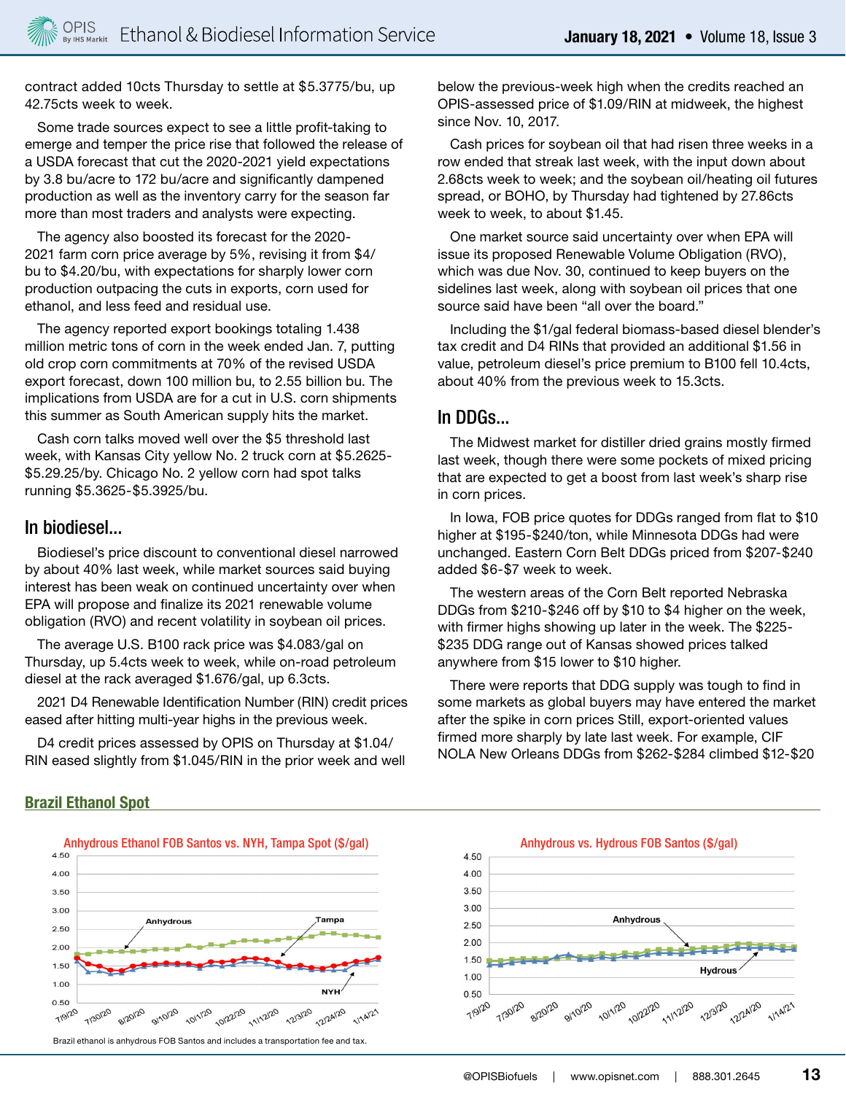contract added 10cts Thursday to settle at \$5.3775/bu, up 42.75cts week to week.

Some trade sources expect to see a little profit-taking to emerge and temper the price rise that followed the release of a USDA forecast that cut the 2020-2021 yield expectations by 3.8 bu/acre to 172 bu/acre and significantly dampened production as well as the inventory carry for the season far more than most traders and analysts were expecting.

The agency also boosted its forecast for the 2020- 2021 farm corn price average by 5%, revising it from \$4/ bu to \$4.20/bu, with expectations for sharply lower corn production outpacing the cuts in exports, corn used for ethanol, and less feed and residual use.

The agency reported export bookings totaling 1.438 million metric tons of corn in the week ended Jan. 7, putting old crop corn commitments at 70% of the revised USDA export forecast, down 100 million bu, to 2.55 billion bu. The implications from USDA are for a cut in U.S. corn shipments this summer as South American supply hits the market.

Cash corn talks moved well over the \$5 threshold last week, with Kansas City yellow No. 2 truck corn at \$5.2625- \$5.29.25/by. Chicago No. 2 yellow corn had spot talks running \$5.3625-\$5.3925/bu.

### In biodiesel...

Biodiesel's price discount to conventional diesel narrowed by about 40% last week, while market sources said buying interest has been weak on continued uncertainty over when EPA will propose and finalize its 2021 renewable volume obligation (RVO) and recent volatility in soybean oil prices.

The average U.S. B100 rack price was \$4.083/gal on Thursday, up 5.4cts week to week, while on-road petroleum diesel at the rack averaged \$1.676/gal, up 6.3cts.

2021 D4 Renewable Identification Number (RIN) credit prices eased after hitting multi-year highs in the previous week.

D4 credit prices assessed by OPIS on Thursday at \$1.04/ RIN eased slightly from \$1.045/RIN in the prior week and well below the previous-week high when the credits reached an OPIS-assessed price of \$1.09/RIN at midweek, the highest since Nov. 10, 2017.

Cash prices for soybean oil that had risen three weeks in a row ended that streak last week, with the input down about 2.68cts week to week; and the soybean oil/heating oil futures spread, or BOHO, by Thursday had tightened by 27.86cts week to week, to about \$1.45.

One market source said uncertainty over when EPA will issue its proposed Renewable Volume Obligation (RVO), which was due Nov. 30, continued to keep buyers on the sidelines last week, along with soybean oil prices that one source said have been "all over the board."

Including the \$1/gal federal biomass-based diesel blender's tax credit and D4 RINs that provided an additional \$1.56 in value, petroleum diesel's price premium to B100 fell 10.4cts, about 40% from the previous week to 15.3cts.

### In DDGs...

The Midwest market for distiller dried grains mostly firmed last week, though there were some pockets of mixed pricing that are expected to get a boost from last week's sharp rise in corn prices.

In Iowa, FOB price quotes for DDGs ranged from flat to \$10 higher at \$195-\$240/ton, while Minnesota DDGs had were unchanged. Eastern Corn Belt DDGs priced from \$207-\$240 added \$6-\$7 week to week.

The western areas of the Corn Belt reported Nebraska DDGs from \$210-\$246 off by \$10 to \$4 higher on the week, with firmer highs showing up later in the week. The \$225- \$235 DDG range out of Kansas showed prices talked anywhere from \$15 lower to \$10 higher.

There were reports that DDG supply was tough to find in some markets as global buyers may have entered the market after the spike in corn prices Still, export-oriented values firmed more sharply by late last week. For example, CIF NOLA New Orleans DDGs from \$262-\$284 climbed \$12-\$20





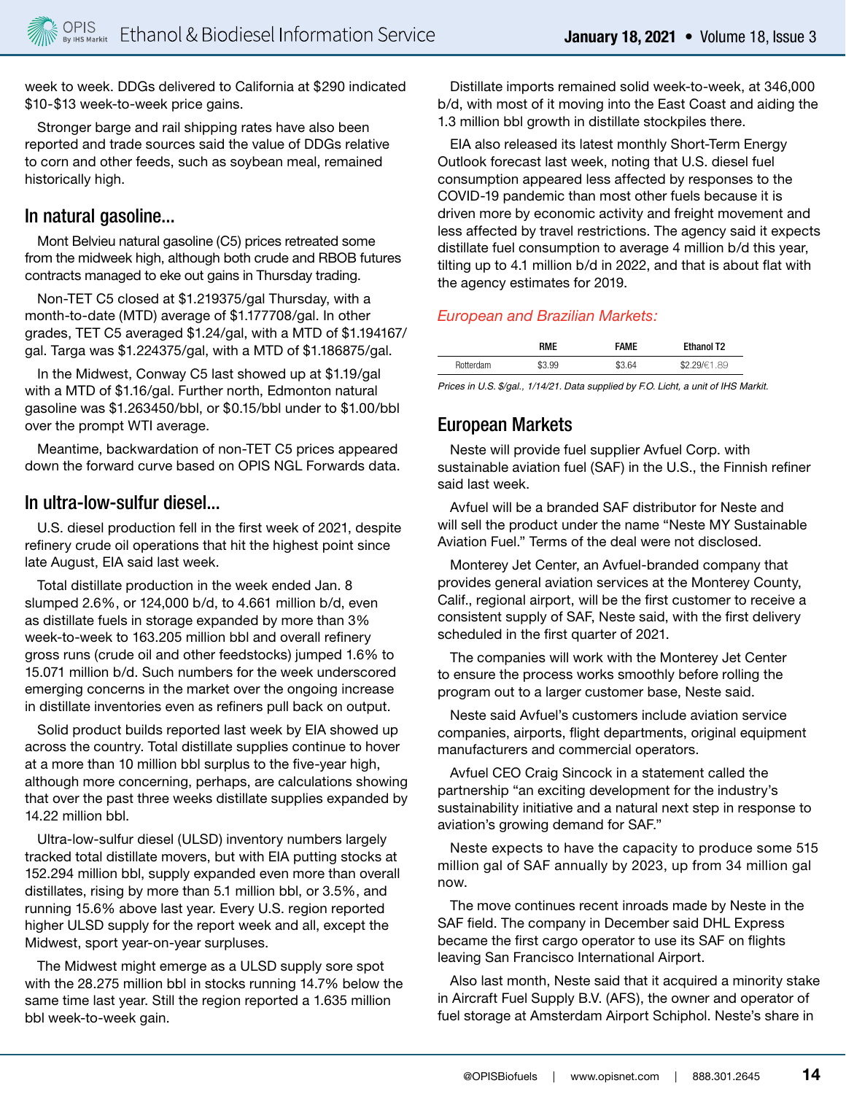week to week. DDGs delivered to California at \$290 indicated \$10-\$13 week-to-week price gains.

Stronger barge and rail shipping rates have also been reported and trade sources said the value of DDGs relative to corn and other feeds, such as soybean meal, remained historically high.

## In natural gasoline...

Mont Belvieu natural gasoline (C5) prices retreated some from the midweek high, although both crude and RBOB futures contracts managed to eke out gains in Thursday trading.

Non-TET C5 closed at \$1.219375/gal Thursday, with a month-to-date (MTD) average of \$1.177708/gal. In other grades, TET C5 averaged \$1.24/gal, with a MTD of \$1.194167/ gal. Targa was \$1.224375/gal, with a MTD of \$1.186875/gal.

In the Midwest, Conway C5 last showed up at \$1.19/gal with a MTD of \$1.16/gal. Further north, Edmonton natural gasoline was \$1.263450/bbl, or \$0.15/bbl under to \$1.00/bbl over the prompt WTI average.

Meantime, backwardation of non-TET C5 prices appeared down the forward curve based on OPIS NGL Forwards data.

# In ultra-low-sulfur diesel...

U.S. diesel production fell in the first week of 2021, despite refinery crude oil operations that hit the highest point since late August, EIA said last week.

Total distillate production in the week ended Jan. 8 slumped 2.6%, or 124,000 b/d, to 4.661 million b/d, even as distillate fuels in storage expanded by more than 3% week-to-week to 163.205 million bbl and overall refinery gross runs (crude oil and other feedstocks) jumped 1.6% to 15.071 million b/d. Such numbers for the week underscored emerging concerns in the market over the ongoing increase in distillate inventories even as refiners pull back on output.

Solid product builds reported last week by EIA showed up across the country. Total distillate supplies continue to hover at a more than 10 million bbl surplus to the five-year high, although more concerning, perhaps, are calculations showing that over the past three weeks distillate supplies expanded by 14.22 million bbl.

Ultra-low-sulfur diesel (ULSD) inventory numbers largely tracked total distillate movers, but with EIA putting stocks at 152.294 million bbl, supply expanded even more than overall distillates, rising by more than 5.1 million bbl, or 3.5%, and running 15.6% above last year. Every U.S. region reported higher ULSD supply for the report week and all, except the Midwest, sport year-on-year surpluses.

The Midwest might emerge as a ULSD supply sore spot with the 28.275 million bbl in stocks running 14.7% below the same time last year. Still the region reported a 1.635 million bbl week-to-week gain.

Distillate imports remained solid week-to-week, at 346,000 b/d, with most of it moving into the East Coast and aiding the 1.3 million bbl growth in distillate stockpiles there.

EIA also released its latest monthly Short-Term Energy Outlook forecast last week, noting that U.S. diesel fuel consumption appeared less affected by responses to the COVID-19 pandemic than most other fuels because it is driven more by economic activity and freight movement and less affected by travel restrictions. The agency said it expects distillate fuel consumption to average 4 million b/d this year, tilting up to 4.1 million b/d in 2022, and that is about flat with the agency estimates for 2019.

### *European and Brazilian Markets:*

|                  | <b>RMF</b> | <b>FAME</b> | <b>Ethanol T2</b> |
|------------------|------------|-------------|-------------------|
| <b>Rotterdam</b> | \$3.99     | \$3.64      | 29/€1.89          |

*Prices in U.S. \$/gal., 1/14/21. Data supplied by F.O. Licht, a unit of IHS Markit.* 

# European Markets

Neste will provide fuel supplier Avfuel Corp. with sustainable aviation fuel (SAF) in the U.S., the Finnish refiner said last week.

Avfuel will be a branded SAF distributor for Neste and will sell the product under the name "Neste MY Sustainable Aviation Fuel." Terms of the deal were not disclosed.

Monterey Jet Center, an Avfuel-branded company that provides general aviation services at the Monterey County, Calif., regional airport, will be the first customer to receive a consistent supply of SAF, Neste said, with the first delivery scheduled in the first quarter of 2021.

The companies will work with the Monterey Jet Center to ensure the process works smoothly before rolling the program out to a larger customer base, Neste said.

Neste said Avfuel's customers include aviation service companies, airports, flight departments, original equipment manufacturers and commercial operators.

Avfuel CEO Craig Sincock in a statement called the partnership "an exciting development for the industry's sustainability initiative and a natural next step in response to aviation's growing demand for SAF."

Neste expects to have the capacity to produce some 515 million gal of SAF annually by 2023, up from 34 million gal now.

The move continues recent inroads made by Neste in the SAF field. The company in December said DHL Express became the first cargo operator to use its SAF on flights leaving San Francisco International Airport.

Also last month, Neste said that it acquired a minority stake in Aircraft Fuel Supply B.V. (AFS), the owner and operator of fuel storage at Amsterdam Airport Schiphol. Neste's share in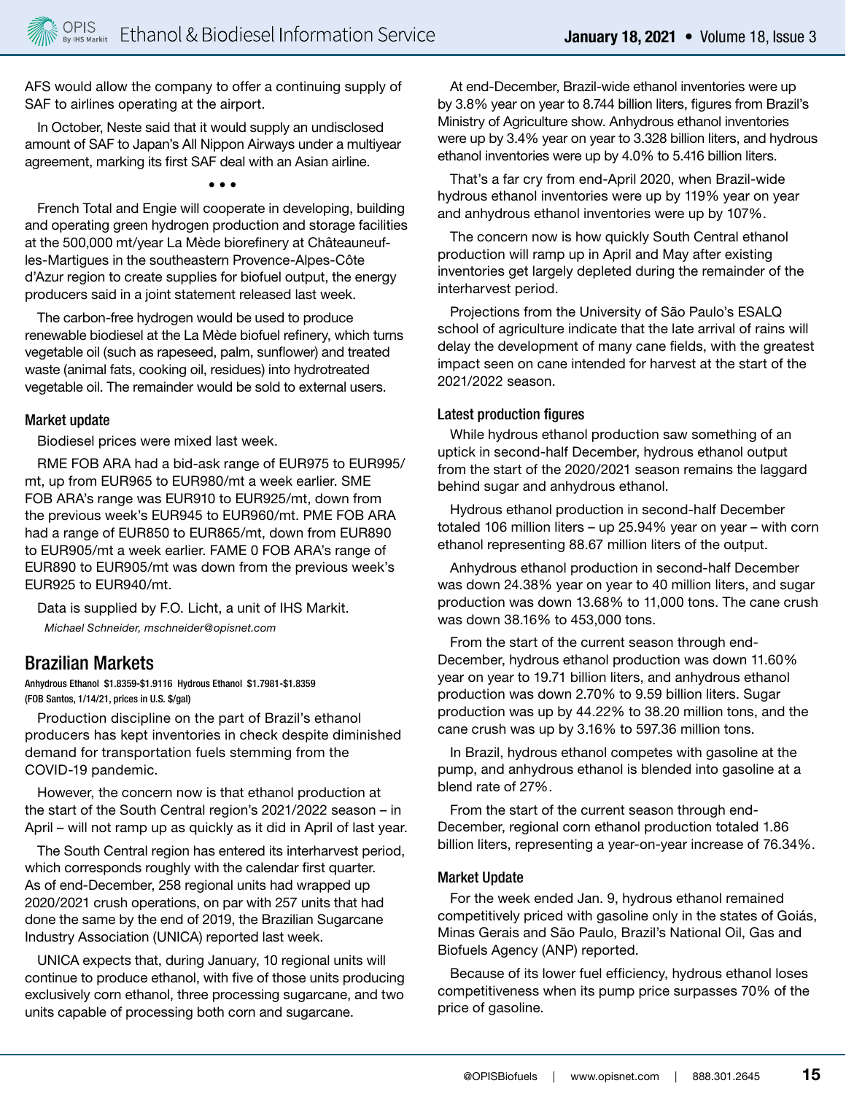AFS would allow the company to offer a continuing supply of SAF to airlines operating at the airport.

In October, Neste said that it would supply an undisclosed amount of SAF to Japan's All Nippon Airways under a multiyear agreement, marking its first SAF deal with an Asian airline.

• • •

French Total and Engie will cooperate in developing, building and operating green hydrogen production and storage facilities at the 500,000 mt/year La Mède biorefinery at Châteauneufles-Martigues in the southeastern Provence-Alpes-Côte d'Azur region to create supplies for biofuel output, the energy producers said in a joint statement released last week.

The carbon-free hydrogen would be used to produce renewable biodiesel at the La Mède biofuel refinery, which turns vegetable oil (such as rapeseed, palm, sunflower) and treated waste (animal fats, cooking oil, residues) into hydrotreated vegetable oil. The remainder would be sold to external users.

#### Market update

Biodiesel prices were mixed last week.

RME FOB ARA had a bid-ask range of EUR975 to EUR995/ mt, up from EUR965 to EUR980/mt a week earlier. SME FOB ARA's range was EUR910 to EUR925/mt, down from the previous week's EUR945 to EUR960/mt. PME FOB ARA had a range of EUR850 to EUR865/mt, down from EUR890 to EUR905/mt a week earlier. FAME 0 FOB ARA's range of EUR890 to EUR905/mt was down from the previous week's EUR925 to EUR940/mt.

Data is supplied by F.O. Licht, a unit of IHS Markit. *Michael Schneider, mschneider@opisnet.com*

# Brazilian Markets

Anhydrous Ethanol \$1.8359-\$1.9116 Hydrous Ethanol \$1.7981-\$1.8359 (FOB Santos, 1/14/21, prices in U.S. \$/gal)

Production discipline on the part of Brazil's ethanol producers has kept inventories in check despite diminished demand for transportation fuels stemming from the COVID-19 pandemic.

However, the concern now is that ethanol production at the start of the South Central region's 2021/2022 season – in April – will not ramp up as quickly as it did in April of last year.

The South Central region has entered its interharvest period, which corresponds roughly with the calendar first quarter. As of end-December, 258 regional units had wrapped up 2020/2021 crush operations, on par with 257 units that had done the same by the end of 2019, the Brazilian Sugarcane Industry Association (UNICA) reported last week.

UNICA expects that, during January, 10 regional units will continue to produce ethanol, with five of those units producing exclusively corn ethanol, three processing sugarcane, and two units capable of processing both corn and sugarcane.

At end-December, Brazil-wide ethanol inventories were up by 3.8% year on year to 8.744 billion liters, figures from Brazil's Ministry of Agriculture show. Anhydrous ethanol inventories were up by 3.4% year on year to 3.328 billion liters, and hydrous ethanol inventories were up by 4.0% to 5.416 billion liters.

That's a far cry from end-April 2020, when Brazil-wide hydrous ethanol inventories were up by 119% year on year and anhydrous ethanol inventories were up by 107%.

The concern now is how quickly South Central ethanol production will ramp up in April and May after existing inventories get largely depleted during the remainder of the interharvest period.

Projections from the University of São Paulo's ESALQ school of agriculture indicate that the late arrival of rains will delay the development of many cane fields, with the greatest impact seen on cane intended for harvest at the start of the 2021/2022 season.

#### Latest production figures

While hydrous ethanol production saw something of an uptick in second-half December, hydrous ethanol output from the start of the 2020/2021 season remains the laggard behind sugar and anhydrous ethanol.

Hydrous ethanol production in second-half December totaled 106 million liters – up 25.94% year on year – with corn ethanol representing 88.67 million liters of the output.

Anhydrous ethanol production in second-half December was down 24.38% year on year to 40 million liters, and sugar production was down 13.68% to 11,000 tons. The cane crush was down 38.16% to 453,000 tons.

From the start of the current season through end-December, hydrous ethanol production was down 11.60% year on year to 19.71 billion liters, and anhydrous ethanol production was down 2.70% to 9.59 billion liters. Sugar production was up by 44.22% to 38.20 million tons, and the cane crush was up by 3.16% to 597.36 million tons.

In Brazil, hydrous ethanol competes with gasoline at the pump, and anhydrous ethanol is blended into gasoline at a blend rate of 27%.

From the start of the current season through end-December, regional corn ethanol production totaled 1.86 billion liters, representing a year-on-year increase of 76.34%.

#### Market Update

For the week ended Jan. 9, hydrous ethanol remained competitively priced with gasoline only in the states of Goiás, Minas Gerais and São Paulo, Brazil's National Oil, Gas and Biofuels Agency (ANP) reported.

Because of its lower fuel efficiency, hydrous ethanol loses competitiveness when its pump price surpasses 70% of the price of gasoline.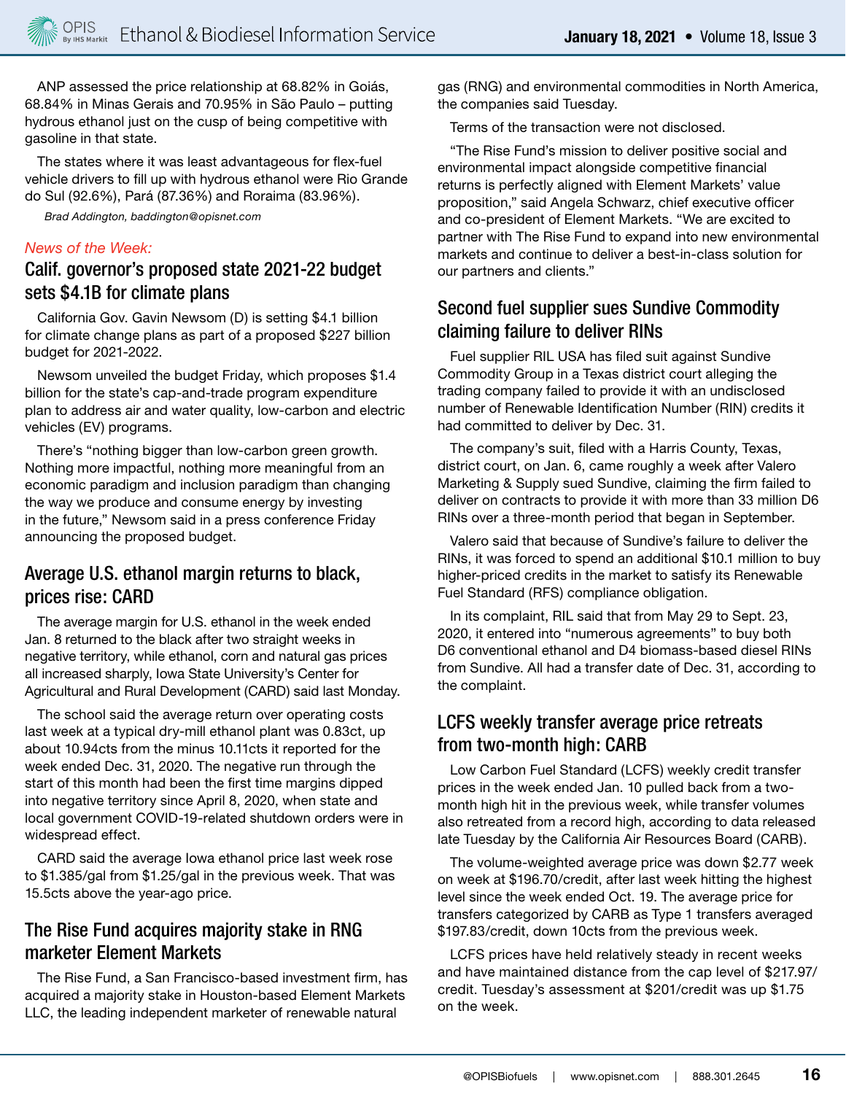ANP assessed the price relationship at 68.82% in Goiás, 68.84% in Minas Gerais and 70.95% in São Paulo – putting hydrous ethanol just on the cusp of being competitive with gasoline in that state.

The states where it was least advantageous for flex-fuel vehicle drivers to fill up with hydrous ethanol were Rio Grande do Sul (92.6%), Pará (87.36%) and Roraima (83.96%).

*Brad Addington, baddington@opisnet.com*

#### *News of the Week:*

# Calif. governor's proposed state 2021-22 budget sets \$4.1B for climate plans

California Gov. Gavin Newsom (D) is setting \$4.1 billion for climate change plans as part of a proposed \$227 billion budget for 2021-2022.

Newsom unveiled the budget Friday, which proposes \$1.4 billion for the state's cap-and-trade program expenditure plan to address air and water quality, low-carbon and electric vehicles (EV) programs.

There's "nothing bigger than low-carbon green growth. Nothing more impactful, nothing more meaningful from an economic paradigm and inclusion paradigm than changing the way we produce and consume energy by investing in the future," Newsom said in a press conference Friday announcing the proposed budget.

# Average U.S. ethanol margin returns to black, prices rise: CARD

The average margin for U.S. ethanol in the week ended Jan. 8 returned to the black after two straight weeks in negative territory, while ethanol, corn and natural gas prices all increased sharply, Iowa State University's Center for Agricultural and Rural Development (CARD) said last Monday.

The school said the average return over operating costs last week at a typical dry-mill ethanol plant was 0.83ct, up about 10.94cts from the minus 10.11cts it reported for the week ended Dec. 31, 2020. The negative run through the start of this month had been the first time margins dipped into negative territory since April 8, 2020, when state and local government COVID-19-related shutdown orders were in widespread effect.

CARD said the average Iowa ethanol price last week rose to \$1.385/gal from \$1.25/gal in the previous week. That was 15.5cts above the year-ago price.

# The Rise Fund acquires majority stake in RNG marketer Element Markets

The Rise Fund, a San Francisco-based investment firm, has acquired a majority stake in Houston-based Element Markets LLC, the leading independent marketer of renewable natural

gas (RNG) and environmental commodities in North America, the companies said Tuesday.

Terms of the transaction were not disclosed.

"The Rise Fund's mission to deliver positive social and environmental impact alongside competitive financial returns is perfectly aligned with Element Markets' value proposition," said Angela Schwarz, chief executive officer and co-president of Element Markets. "We are excited to partner with The Rise Fund to expand into new environmental markets and continue to deliver a best-in-class solution for our partners and clients."

# Second fuel supplier sues Sundive Commodity claiming failure to deliver RINs

Fuel supplier RIL USA has filed suit against Sundive Commodity Group in a Texas district court alleging the trading company failed to provide it with an undisclosed number of Renewable Identification Number (RIN) credits it had committed to deliver by Dec. 31.

The company's suit, filed with a Harris County, Texas, district court, on Jan. 6, came roughly a week after Valero Marketing & Supply sued Sundive, claiming the firm failed to deliver on contracts to provide it with more than 33 million D6 RINs over a three-month period that began in September.

Valero said that because of Sundive's failure to deliver the RINs, it was forced to spend an additional \$10.1 million to buy higher-priced credits in the market to satisfy its Renewable Fuel Standard (RFS) compliance obligation.

In its complaint, RIL said that from May 29 to Sept. 23, 2020, it entered into "numerous agreements" to buy both D6 conventional ethanol and D4 biomass-based diesel RINs from Sundive. All had a transfer date of Dec. 31, according to the complaint.

# LCFS weekly transfer average price retreats from two-month high: CARB

Low Carbon Fuel Standard (LCFS) weekly credit transfer prices in the week ended Jan. 10 pulled back from a twomonth high hit in the previous week, while transfer volumes also retreated from a record high, according to data released late Tuesday by the California Air Resources Board (CARB).

The volume-weighted average price was down \$2.77 week on week at \$196.70/credit, after last week hitting the highest level since the week ended Oct. 19. The average price for transfers categorized by CARB as Type 1 transfers averaged \$197.83/credit, down 10cts from the previous week.

LCFS prices have held relatively steady in recent weeks and have maintained distance from the cap level of \$217.97/ credit. Tuesday's assessment at \$201/credit was up \$1.75 on the week.